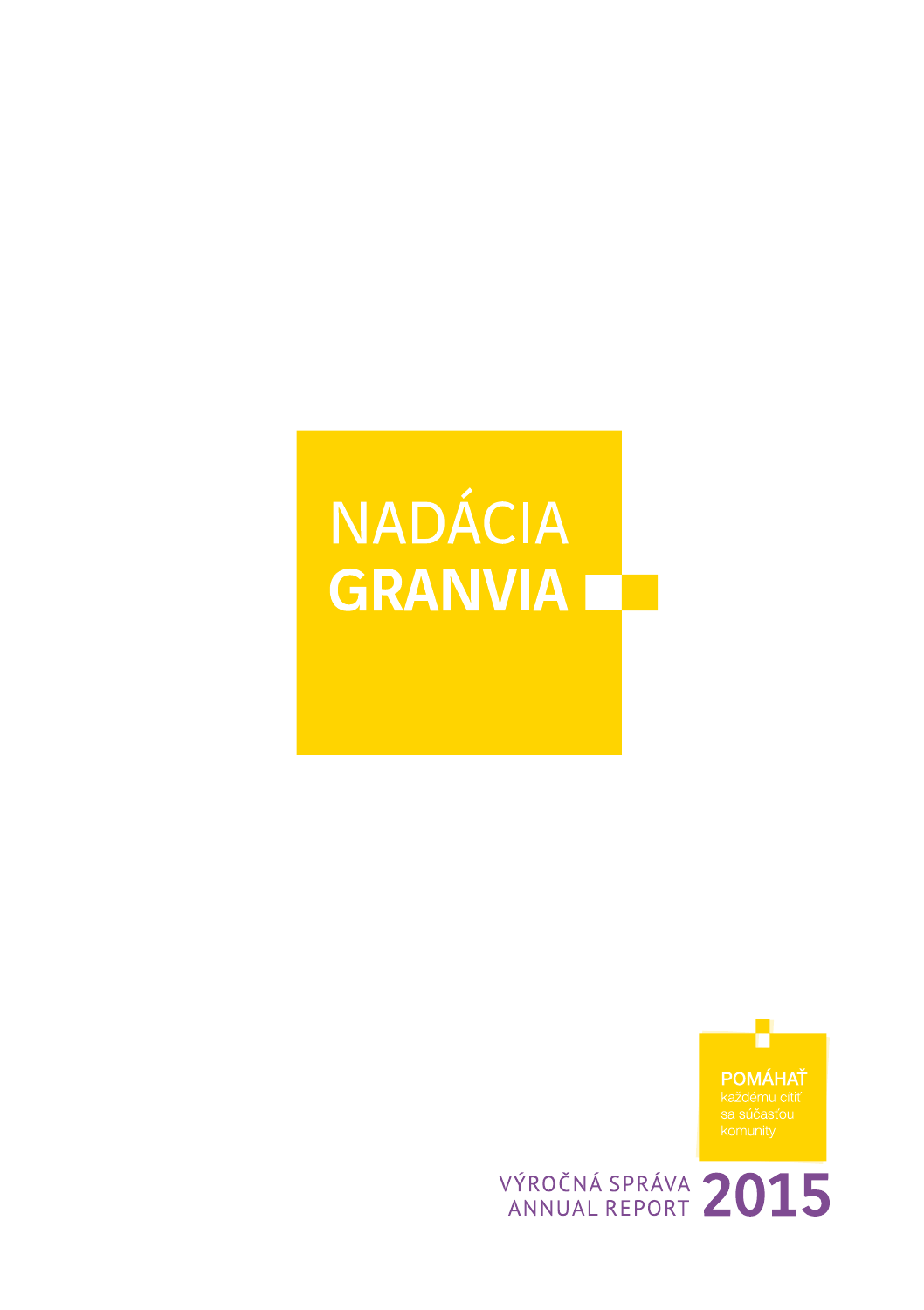# **NADÁCIA GRANVIA NO**



VÝROČNÁ SPRÁVA 2015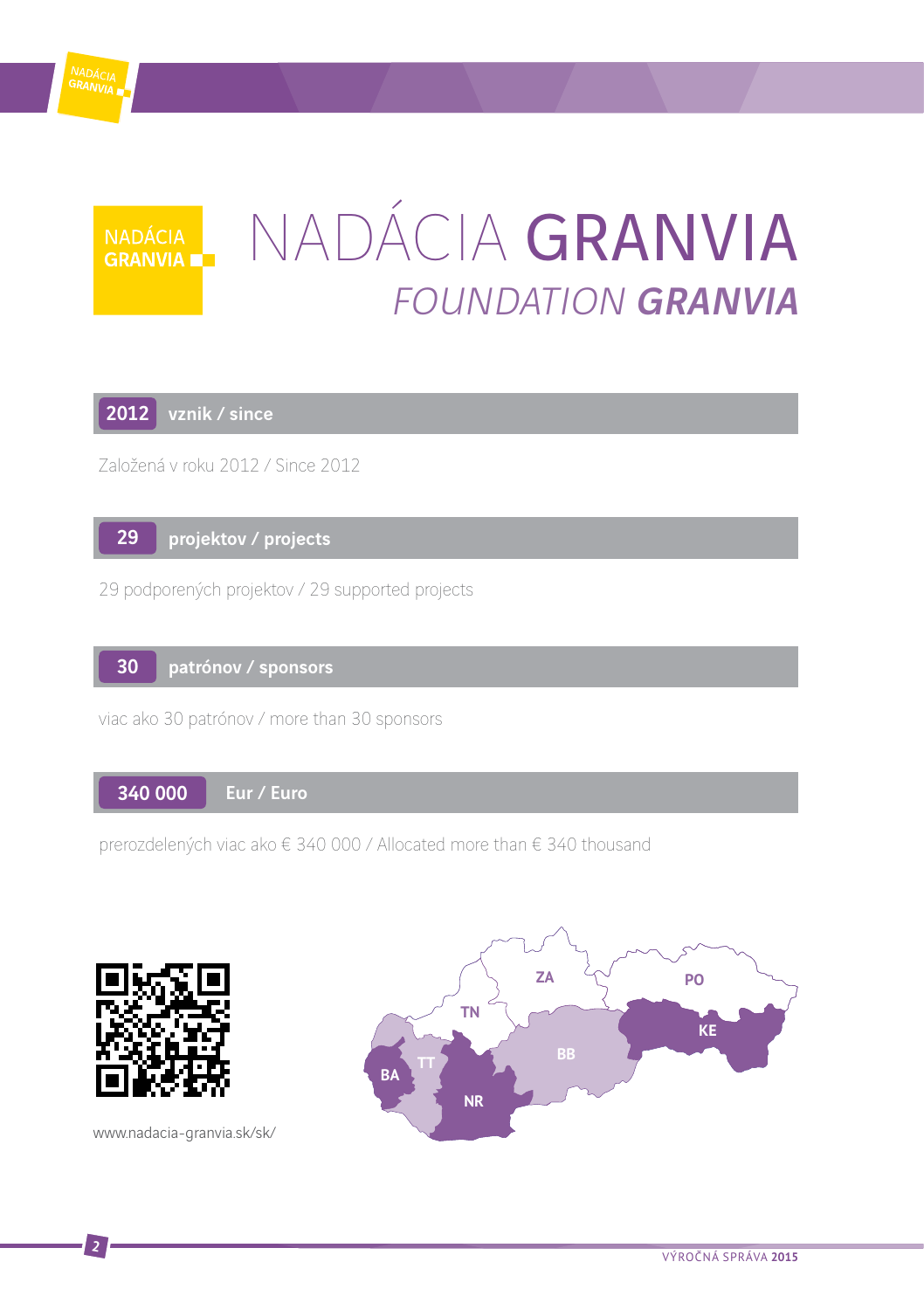

# Nadácia Granvia FOUNDATION GRANVIA

2012 vznik / since

NADÁCIA<br>GRANVIA ■

Založená v roku 2012 / Since 2012



29 podporených projektov / 29 supported projects

#### patrónov / sponsors 30

viac ako 30 patrónov / more than 30 sponsors

Eur / Euro 340 000

prerozdelených viac ako € 340 000 / Allocated more than € 340 thousand



www.nadacia-granvia.sk/sk/

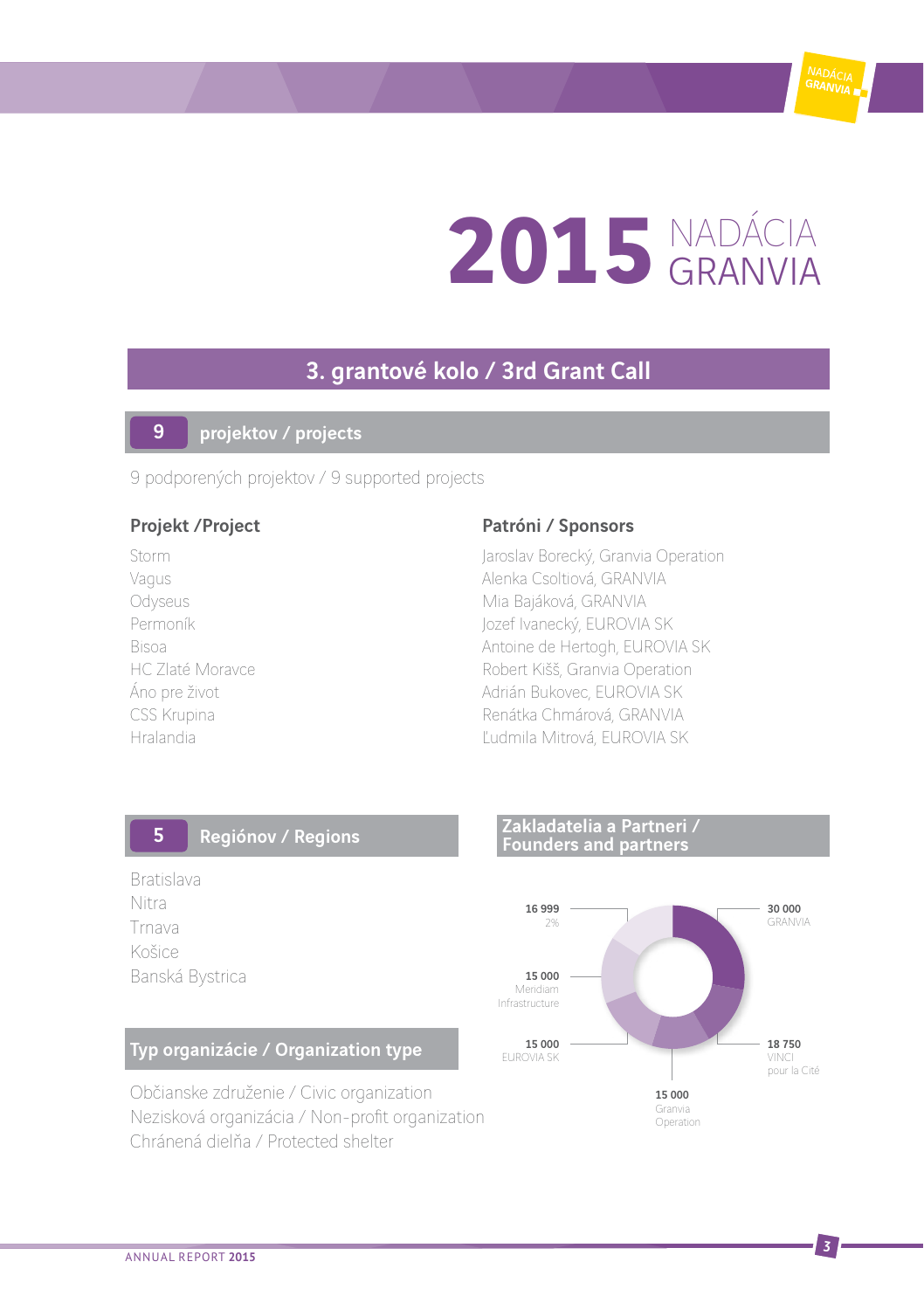

# 2015 NADÁCIA

### 3. grantové kolo / 3rd Grant Call

#### projektov / projects 9

9 podporených projektov / 9 supported projects

#### Projekt / Project Patróni / Sponsors

Storm Jaroslav Borecký, Granvia Operation Vagus **Alenka Csoltiová, GRANVIA** Odyseus **Mia Bajáková, GRANVIA** Permoník **Jozef Ivanecký, EUROVIA SK** Bisoa Antoine de Hertogh, EUROVIA SK<br>Bisoa Antoine de Hertogh, EUROVIA SK<br>Robert Kišš Granvia Operation Robert Kišš, Granvia Operation Áno pre život **Adrián Bukovec, EUROVIA SK** CSS Krupina **Renátka Chmárová, GRANVIA** Hralandia Ľudmila Mitrová, EUROVIA SK

#### Regiónov / Regions 5

Bratislava Nitra Trnava Košice Banská Bystrica

#### Typ organizácie / Organization type

Občianske združenie / Civic organization Nezisková organizácia / Non-profit organization Chránená dielňa / Protected shelter

#### Zakladatelia a Partneri / Founders and partners

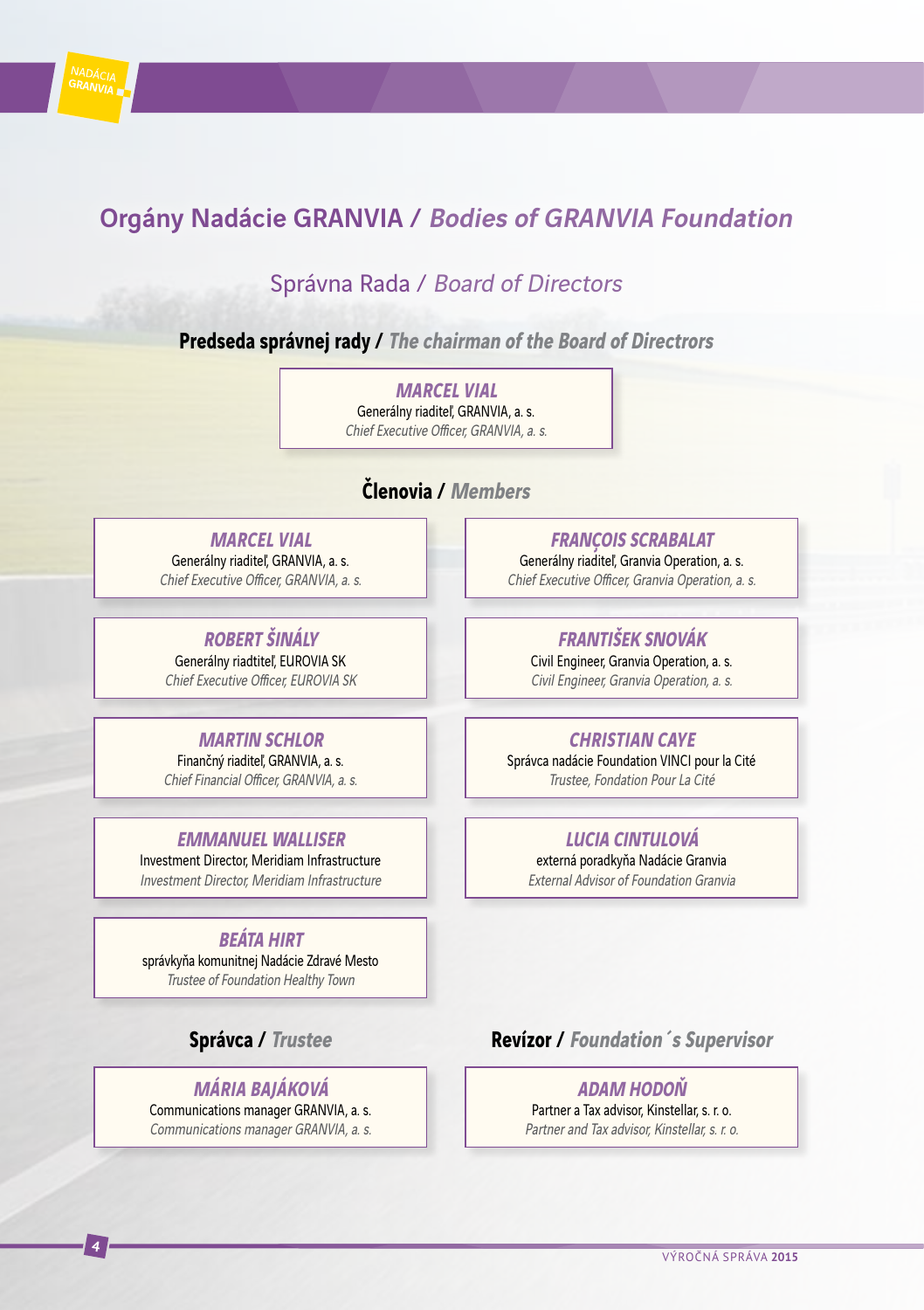

### Orgány Nadácie GRANVIA / Bodies of GRANVIA Foundation

### Správna Rada / Board of Directors

#### **Predseda správnej rady / The chairman of the Board of Directrors**

**Marcel Vial** Generálny riaditeľ, GRANVIA, a. s. Chief Executive Officer, GRANVIA, a. s.

### **Členovia / Members**

**Marcel Vial** Generálny riaditeľ, GRANVIA, a. s. Chief Executive Officer, GRANVIA, a. s.

**ROBERT ŠINÁLY** Generálny riadtiteľ, EUROVIA SK Chief Executive Officer, EUROVIA SK

#### **MARTIN SCHLOR** Finančný riaditeľ, GRANVIA, a. s.

Chief Financial Officer, GRANVIA, a. s.

#### **EMMANUEL WALLISER**

Investment Director, Meridiam Infrastructure Investment Director, Meridiam Infrastructure

#### **BEÁTA HIRT**

správkyňa komunitnej Nadácie Zdravé Mesto Trustee of Foundation Healthy Town

### **Správca / Trustee**

#### **Mária Bajáková**

Communications manager GRANVIA, a. s. Communications manager GRANVIA, a. s.

**FRANÇOIS SCRABALAT** Generálny riaditeľ, Granvia Operation, a. s. Chief Executive Officer, Granvia Operation, a. s.

#### **FRANTIŠEK SNOVÁK**

Civil Engineer, Granvia Operation, a. s. Civil Engineer, Granvia Operation, a. s.

#### **Christian Caye**

Správca nadácie Foundation VINCI pour la Cité Trustee, Fondation Pour La Cité

#### **LUCIA CINTULOVÁ**

externá poradkyňa Nadácie Granvia External Advisor of Foundation Granvia

### **Revízor / Foundation´s Supervisor**

**ADAM HODOŇ** Partner a Tax advisor, Kinstellar, s. r. o. Partner and Tax advisor, Kinstellar, s. r. o.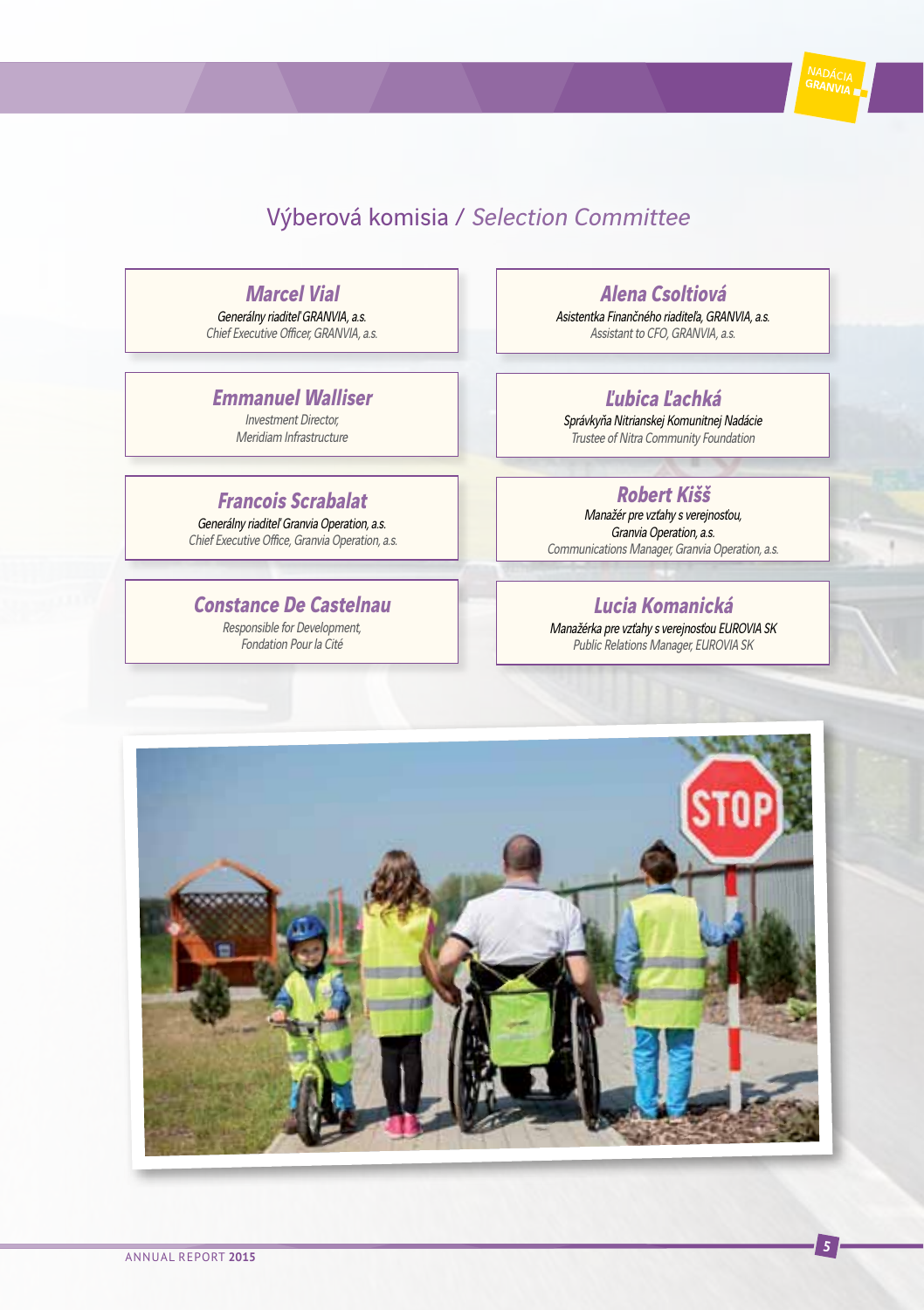

### Výberová komisia / Selection Committee

#### **Marcel Vial**

Generálny riaditeľ GRANVIA, a.s. Chief Executive Officer, GRANVIA, a.s.

### **Emmanuel Walliser**

Investment Director, Meridiam Infrastructure

### **Francois Scrabalat**

Generálny riaditeľ Granvia Operation, a.s. Chief Executive Office, Granvia Operation, a.s.

#### **Constance De Castelnau**

Responsible for Development, Fondation Pour la Cité

#### **Alena Csoltiová**

Asistentka Finančného riaditeľa, GRANVIA, a.s. Assistant to CFO, GRANVIA, a.s.

### **Ľubica Ľachká**

Správkyňa Nitrianskej Komunitnej Nadácie Trustee of Nitra Community Foundation

#### **Robert Kišš**

Manažér pre vzťahy s verejnosťou, Granvia Operation, a.s. Communications Manager, Granvia Operation, a.s.

#### **Lucia Komanická**

Manažérka pre vzťahy s verejnosťou EUROVIA SK Public Relations Manager, EUROVIA SK

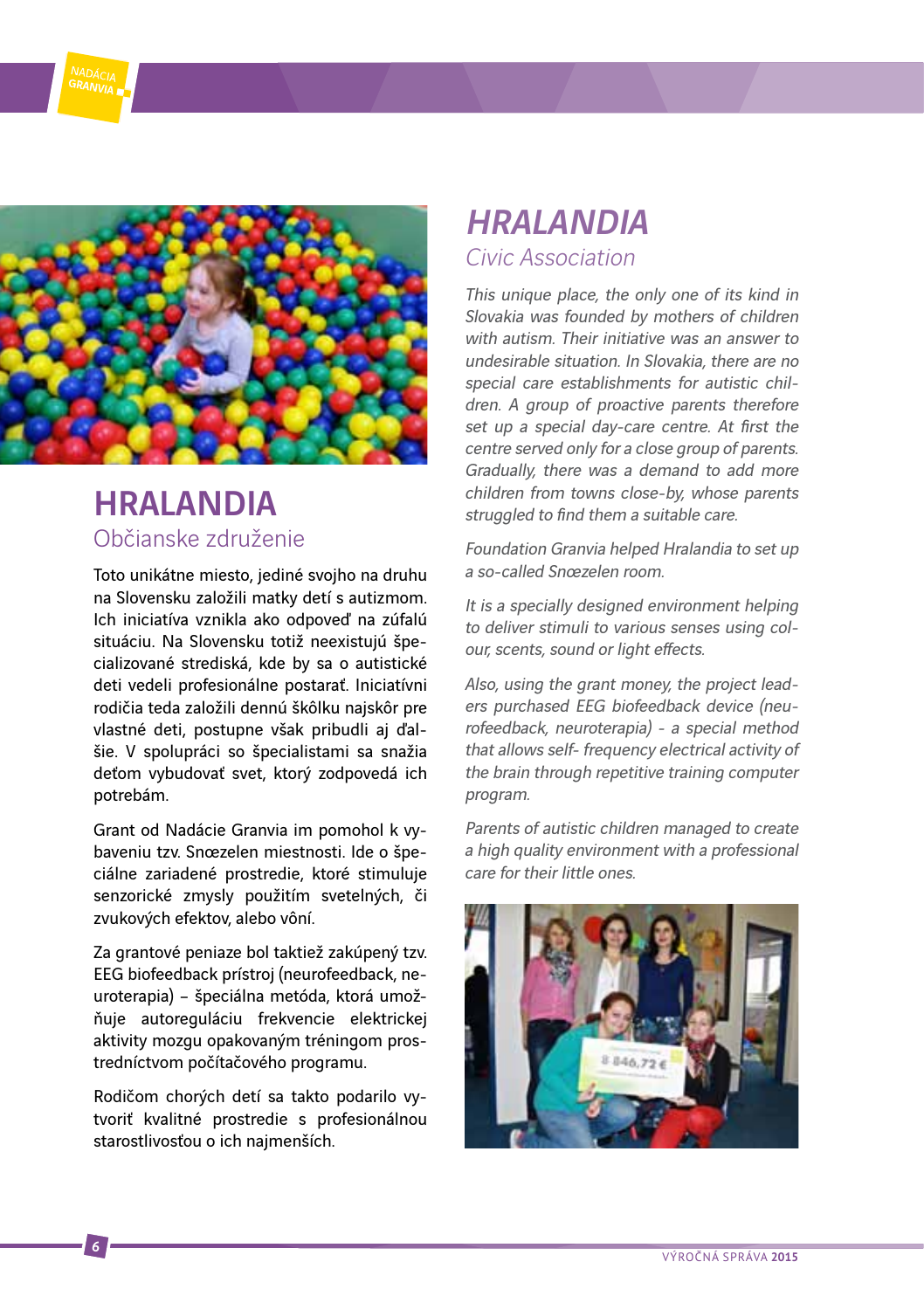

### HRALANDIA Občianske združenie

Toto unikátne miesto, jediné svojho na druhu na Slovensku založili matky detí s autizmom. Ich iniciatíva vznikla ako odpoveď na zúfalú situáciu. Na Slovensku totiž neexistujú špecializované strediská, kde by sa o autistické deti vedeli profesionálne postarať. Iniciatívni rodičia teda založili dennú škôlku najskôr pre vlastné deti, postupne však pribudli aj ďalšie. V spolupráci so špecialistami sa snažia deťom vybudovať svet, ktorý zodpovedá ich potrebám.

Grant od Nadácie Granvia im pomohol k vybaveniu tzv. Snoezelen miestnosti. Ide o špeciálne zariadené prostredie, ktoré stimuluje senzorické zmysly použitím svetelných, či zvukových efektov, alebo vôní.

Za grantové peniaze bol taktiež zakúpený tzv. EEG biofeedback prístroj (neurofeedback, neuroterapia) – špeciálna metóda, ktorá umožňuje autoreguláciu frekvencie elektrickej aktivity mozgu opakovaným tréningom prostredníctvom počítačového programu.

Rodičom chorých detí sa takto podarilo vytvoriť kvalitné prostredie s profesionálnou starostlivosťou o ich najmenších.

### HRALANDIA Civic Association

This unique place, the only one of its kind in Slovakia was founded by mothers of children with autism. Their initiative was an answer to undesirable situation. In Slovakia, there are no special care establishments for autistic children. A group of proactive parents therefore set up a special day-care centre. At first the centre served only for a close group of parents. Gradually, there was a demand to add more children from towns close-by, whose parents struggled to find them a suitable care.

Foundation Granvia helped Hralandia to set up a so-called Snoezelen room.

It is a specially designed environment helping to deliver stimuli to various senses using colour, scents, sound or light effects.

Also, using the grant money, the project leaders purchased EEG biofeedback device (neurofeedback, neuroterapia) - a special method that allows self- frequency electrical activity of the brain through repetitive training computer program.

Parents of autistic children managed to create a high quality environment with a professional care for their little ones.

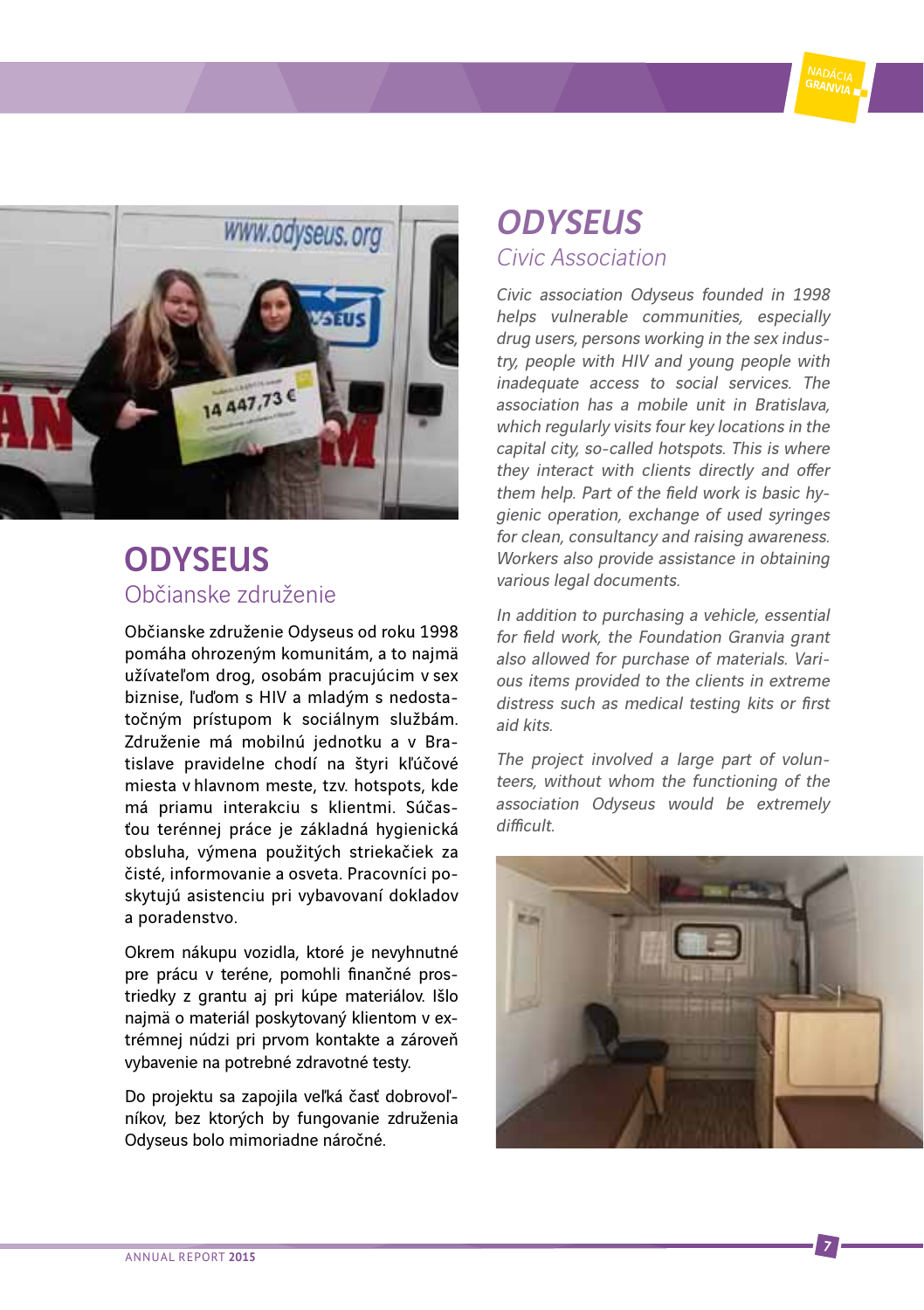



### **ODYSELIS** Občianske združenie

Občianske združenie Odyseus od roku 1998 pomáha ohrozeným komunitám, a to najmä užívateľom drog, osobám pracujúcim v sex biznise, ľuďom s HIV a mladým s nedostatočným prístupom k sociálnym službám. Združenie má mobilnú jednotku a v Bratislave pravidelne chodí na štyri kľúčové miesta v hlavnom meste, tzv. hotspots, kde má priamu interakciu s klientmi. Súčasťou terénnej práce je základná hygienická obsluha, výmena použitých striekačiek za čisté, informovanie a osveta. Pracovníci poskytujú asistenciu pri vybavovaní dokladov a poradenstvo.

Okrem nákupu vozidla, ktoré je nevyhnutné pre prácu v teréne, pomohli finančné prostriedky z grantu aj pri kúpe materiálov. Išlo najmä o materiál poskytovaný klientom v extrémnej núdzi pri prvom kontakte a zároveň vybavenie na potrebné zdravotné testy.

Do projektu sa zapojila veľká časť dobrovoľníkov, bez ktorých by fungovanie združenia Odyseus bolo mimoriadne náročné.

### **ODYSEUS** Civic Association

Civic association Odyseus founded in 1998 helps vulnerable communities, especially drug users, persons working in the sex industry, people with HIV and young people with inadequate access to social services. The association has a mobile unit in Bratislava, which regularly visits four key locations in the capital city, so-called hotspots. This is where they interact with clients directly and offer them help. Part of the field work is basic hygienic operation, exchange of used syringes for clean, consultancy and raising awareness. Workers also provide assistance in obtaining various legal documents.

In addition to purchasing a vehicle, essential for field work, the Foundation Granvia grant also allowed for purchase of materials. Various items provided to the clients in extreme distress such as medical testing kits or first aid kits.

The project involved a large part of volunteers, without whom the functioning of the association Odyseus would be extremely difficult.

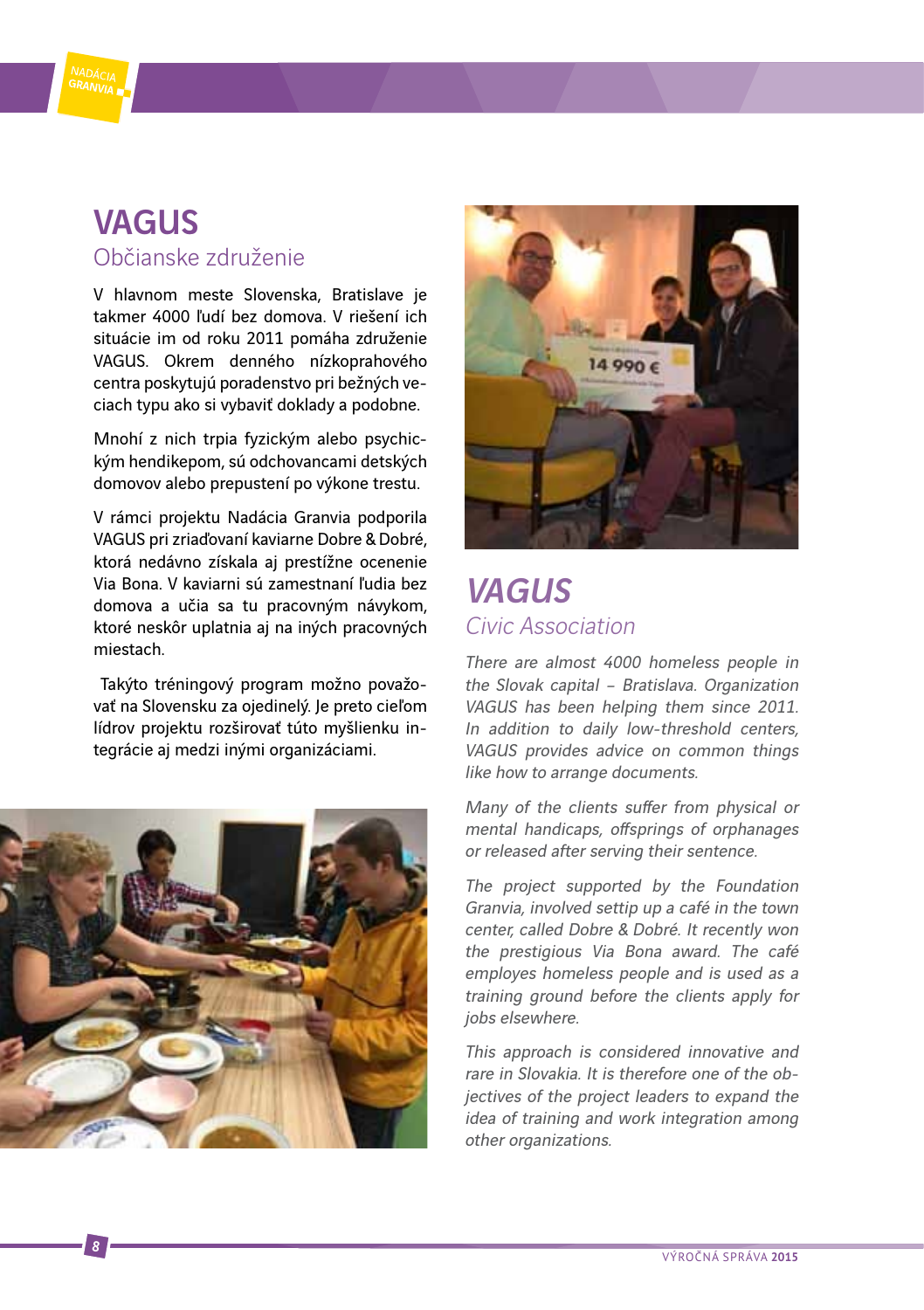

### VAGUS Občianske združenie

V hlavnom meste Slovenska, Bratislave je takmer 4000 ľudí bez domova. V riešení ich situácie im od roku 2011 pomáha združenie VAGUS. Okrem denného nízkoprahového centra poskytujú poradenstvo pri bežných veciach typu ako si vybaviť doklady a podobne.

Mnohí z nich trpia fyzickým alebo psychickým hendikepom, sú odchovancami detských domovov alebo prepustení po výkone trestu.

V rámci projektu Nadácia Granvia podporila VAGUS pri zriaďovaní kaviarne Dobre & Dobré, ktorá nedávno získala aj prestížne ocenenie Via Bona. V kaviarni sú zamestnaní ľudia bez domova a učia sa tu pracovným návykom, ktoré neskôr uplatnia aj na iných pracovných miestach.

 Takýto tréningový program možno považovať na Slovensku za ojedinelý. Je preto cieľom lídrov projektu rozširovať túto myšlienku integrácie aj medzi inými organizáciami.





### VAGUS Civic Association

There are almost 4000 homeless people in the Slovak capital – Bratislava. Organization VAGUS has been helping them since 2011. In addition to daily low-threshold centers VAGUS provides advice on common things like how to arrange documents.

Many of the clients suffer from physical or mental handicaps, offsprings of orphanages or released after serving their sentence.

The project supported by the Foundation Granvia, involved settip up a café in the town center, called Dobre & Dobré. It recently won the prestigious Via Bona award. The café employes homeless people and is used as a training ground before the clients apply for jobs elsewhere.

This approach is considered innovative and rare in Slovakia. It is therefore one of the objectives of the project leaders to expand the idea of training and work integration among other organizations.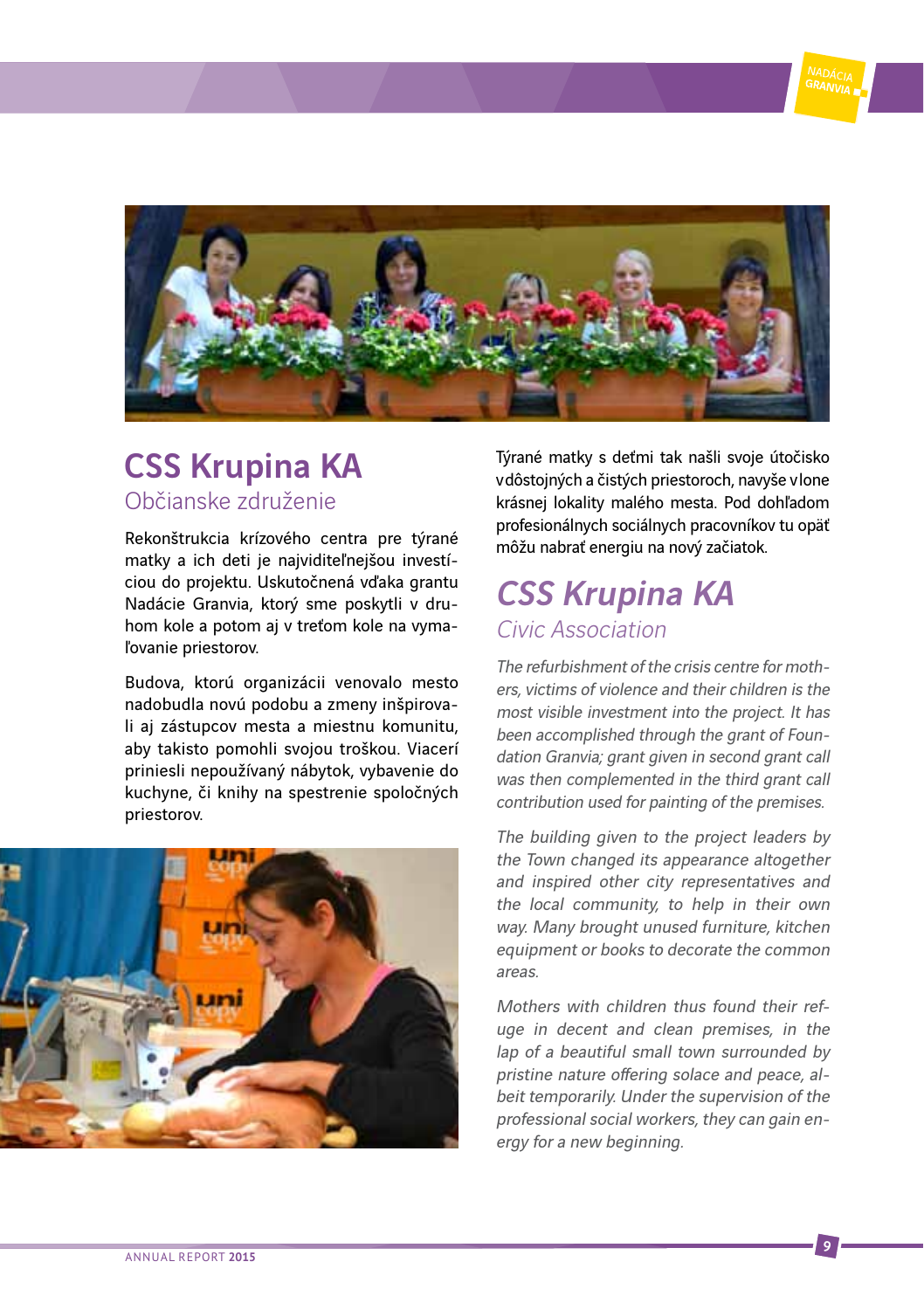

### CSS Krupina KA Občianske združenie

Rekonštrukcia krízového centra pre týrané matky a ich deti je najviditeľnejšou investíciou do projektu. Uskutočnená vďaka grantu Nadácie Granvia, ktorý sme poskytli v druhom kole a potom aj v treťom kole na vymaľovanie priestorov.

Budova, ktorú organizácii venovalo mesto nadobudla novú podobu a zmeny inšpirovali aj zástupcov mesta a miestnu komunitu, aby takisto pomohli svojou troškou. Viacerí priniesli nepoužívaný nábytok, vybavenie do kuchyne, či knihy na spestrenie spoločných priestorov.



Týrané matky s deťmi tak našli svoje útočisko v dôstojných a čistých priestoroch, navyše v lone krásnej lokality malého mesta. Pod dohľadom profesionálnych sociálnych pracovníkov tu opäť môžu nabrať energiu na nový začiatok.

### CSS Krupina KA Civic Association

The refurbishment of the crisis centre for mothers, victims of violence and their children is the most visible investment into the project. It has been accomplished through the grant of Foundation Granvia; grant given in second grant call was then complemented in the third grant call contribution used for painting of the premises.

The building given to the project leaders by the Town changed its appearance altogether and inspired other city representatives and the local community, to help in their own way. Many brought unused furniture, kitchen equipment or books to decorate the common areas.

Mothers with children thus found their refuge in decent and clean premises, in the lap of a beautiful small town surrounded by pristine nature offering solace and peace, albeit temporarily. Under the supervision of the professional social workers, they can gain energy for a new beginning.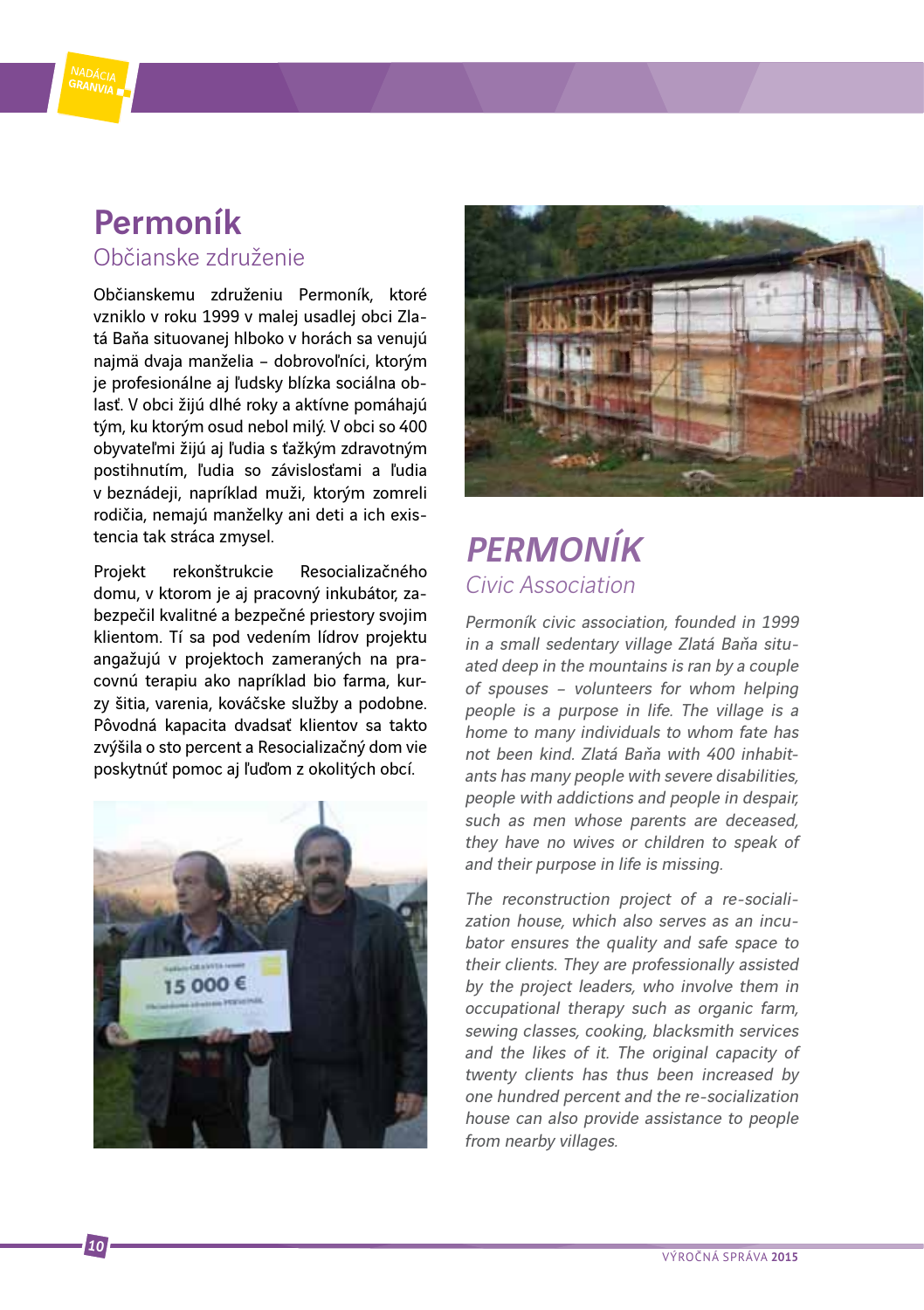

Občianskemu združeniu Permoník, ktoré vzniklo v roku 1999 v malej usadlej obci Zlatá Baňa situovanej hlboko v horách sa venujú najmä dvaja manželia – dobrovoľníci, ktorým je profesionálne aj ľudsky blízka sociálna oblasť. V obci žijú dlhé roky a aktívne pomáhajú tým, ku ktorým osud nebol milý. V obci so 400 obyvateľmi žijú aj ľudia s ťažkým zdravotným postihnutím, ľudia so závislosťami a ľudia v beznádeji, napríklad muži, ktorým zomreli rodičia, nemajú manželky ani deti a ich existencia tak stráca zmysel.

Projekt rekonštrukcie Resocializačného domu, v ktorom je aj pracovný inkubátor, zabezpečil kvalitné a bezpečné priestory svojim klientom. Tí sa pod vedením lídrov projektu angažujú v projektoch zameraných na pracovnú terapiu ako napríklad bio farma, kurzy šitia, varenia, kováčske služby a podobne. Pôvodná kapacita dvadsať klientov sa takto zvýšila o sto percent a Resocializačný dom vie poskytnúť pomoc aj ľuďom z okolitých obcí.





### PERMONÍK Civic Association

Permoník civic association, founded in 1999 in a small sedentary village Zlatá Baňa situated deep in the mountains is ran by a couple of spouses – volunteers for whom helping people is a purpose in life. The village is a home to many individuals to whom fate has not been kind. Zlatá Baňa with 400 inhabitants has many people with severe disabilities, people with addictions and people in despair, such as men whose parents are deceased, they have no wives or children to speak of and their purpose in life is missing.

The reconstruction project of a re-socialization house, which also serves as an incubator ensures the quality and safe space to their clients. They are professionally assisted by the project leaders, who involve them in occupational therapy such as organic farm, sewing classes, cooking, blacksmith services and the likes of it. The original capacity of twenty clients has thus been increased by one hundred percent and the re-socialization house can also provide assistance to people from nearby villages.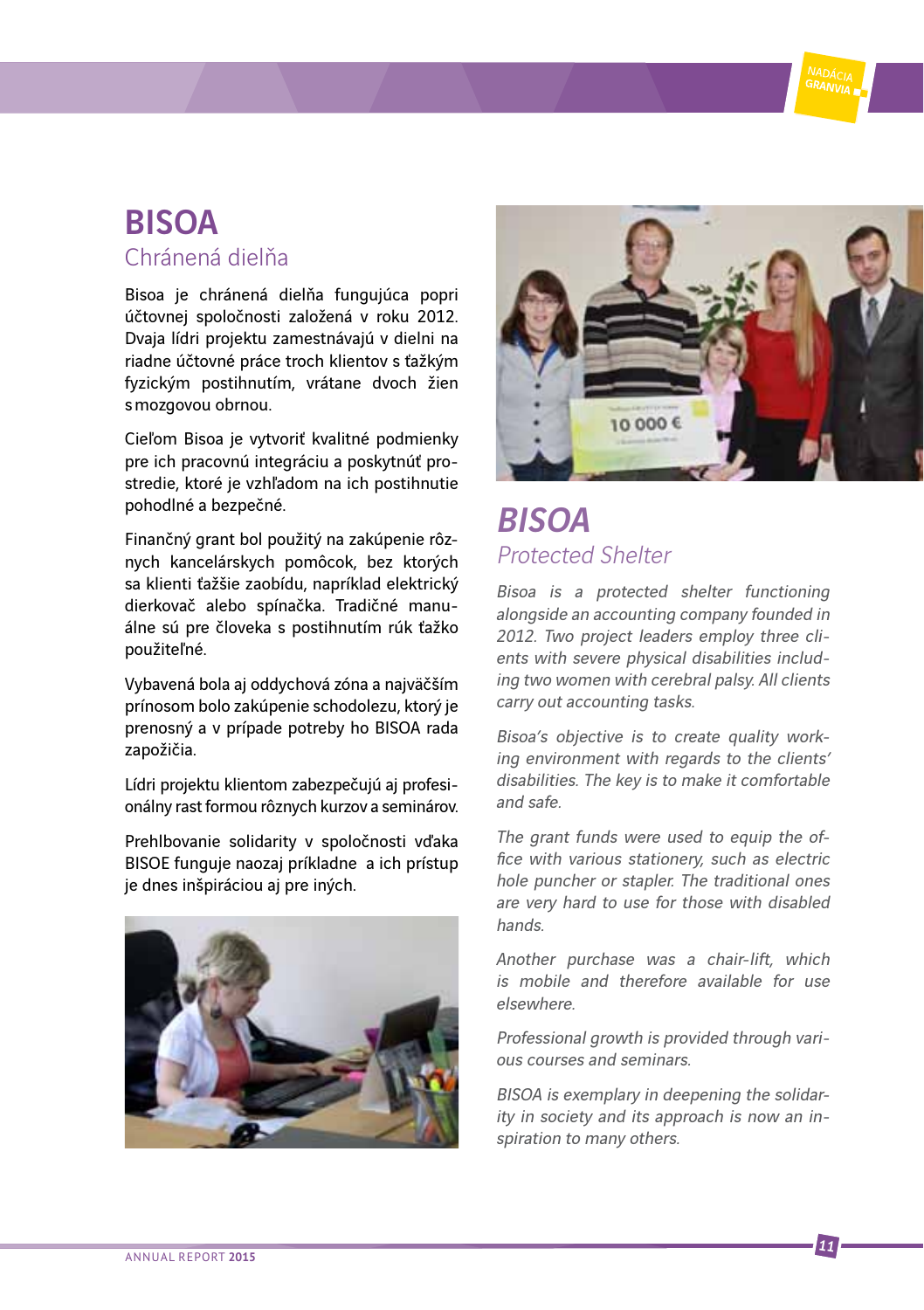### BISOA Chránená dielňa

Bisoa je chránená dielňa fungujúca popri účtovnej spoločnosti založená v roku 2012. Dvaja lídri projektu zamestnávajú v dielni na riadne účtovné práce troch klientov s ťažkým fyzickým postihnutím, vrátane dvoch žien s mozgovou obrnou.

Cieľom Bisoa je vytvoriť kvalitné podmienky pre ich pracovnú integráciu a poskytnúť prostredie, ktoré je vzhľadom na ich postihnutie pohodlné a bezpečné.

Finančný grant bol použitý na zakúpenie rôznych kancelárskych pomôcok, bez ktorých sa klienti ťažšie zaobídu, napríklad elektrický dierkovač alebo spínačka. Tradičné manuálne sú pre človeka s postihnutím rúk ťažko použiteľné.

Vybavená bola aj oddychová zóna a najväčším prínosom bolo zakúpenie schodolezu, ktorý je prenosný a v prípade potreby ho BISOA rada zapožičia.

Lídri projektu klientom zabezpečujú aj profesionálny rast formou rôznych kurzov a seminárov.

Prehlbovanie solidarity v spoločnosti vďaka BISOE funguje naozaj príkladne a ich prístup je dnes inšpiráciou aj pre iných.





### **RISOA** Protected Shelter

Bisoa is a protected shelter functioning alongside an accounting company founded in 2012. Two project leaders employ three clients with severe physical disabilities including two women with cerebral palsy. All clients carry out accounting tasks.

Bisoa's objective is to create quality working environment with regards to the clients' disabilities. The key is to make it comfortable and safe.

The grant funds were used to equip the office with various stationery, such as electric hole puncher or stapler. The traditional ones are very hard to use for those with disabled hands.

Another purchase was a chair-lift, which is mobile and therefore available for use elsewhere.

Professional growth is provided through various courses and seminars.

BISOA is exemplary in deepening the solidarity in society and its approach is now an inspiration to many others.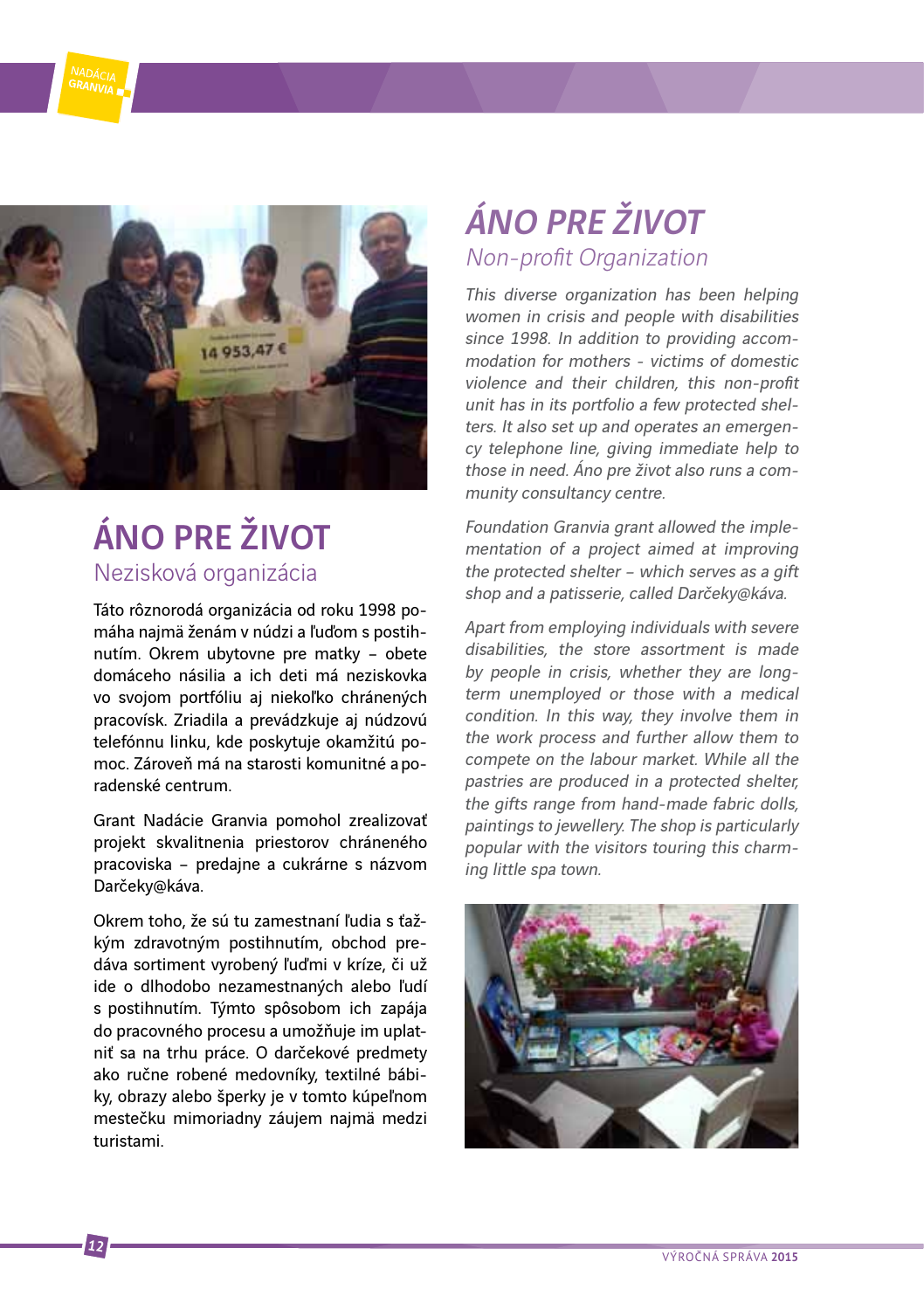

### ÁNO PRE ŽIVOT Nezisková organizácia

Táto rôznorodá organizácia od roku 1998 pomáha najmä ženám v núdzi a ľuďom s postihnutím. Okrem ubytovne pre matky – obete domáceho násilia a ich deti má neziskovka vo svojom portfóliu aj niekoľko chránených pracovísk. Zriadila a prevádzkuje aj núdzovú telefónnu linku, kde poskytuje okamžitú pomoc. Zároveň má na starosti komunitné a poradenské centrum.

Grant Nadácie Granvia pomohol zrealizovať projekt skvalitnenia priestorov chráneného pracoviska – predajne a cukrárne s názvom Darčeky@káva.

Okrem toho, že sú tu zamestnaní ľudia s ťažkým zdravotným postihnutím, obchod predáva sortiment vyrobený ľuďmi v kríze, či už ide o dlhodobo nezamestnaných alebo ľudí s postihnutím. Týmto spôsobom ich zapája do pracovného procesu a umožňuje im uplatniť sa na trhu práce. O darčekové predmety ako ručne robené medovníky, textilné bábiky, obrazy alebo šperky je v tomto kúpeľnom mestečku mimoriadny záujem najmä medzi turistami.

### ÁNO PRE ŽIVOT Non-profit Organization

This diverse organization has been helping women in crisis and people with disabilities since 1998. In addition to providing accommodation for mothers - victims of domestic violence and their children, this non-profit unit has in its portfolio a few protected shelters. It also set up and operates an emergency telephone line, giving immediate help to those in need. Áno pre život also runs a community consultancy centre.

Foundation Granvia grant allowed the implementation of a project aimed at improving the protected shelter – which serves as a gift shop and a patisserie, called Darčeky@káva.

Apart from employing individuals with severe disabilities, the store assortment is made by people in crisis, whether they are longterm unemployed or those with a medical condition. In this way, they involve them in the work process and further allow them to compete on the labour market. While all the pastries are produced in a protected shelter, the gifts range from hand-made fabric dolls, paintings to jewellery. The shop is particularly popular with the visitors touring this charming little spa town.

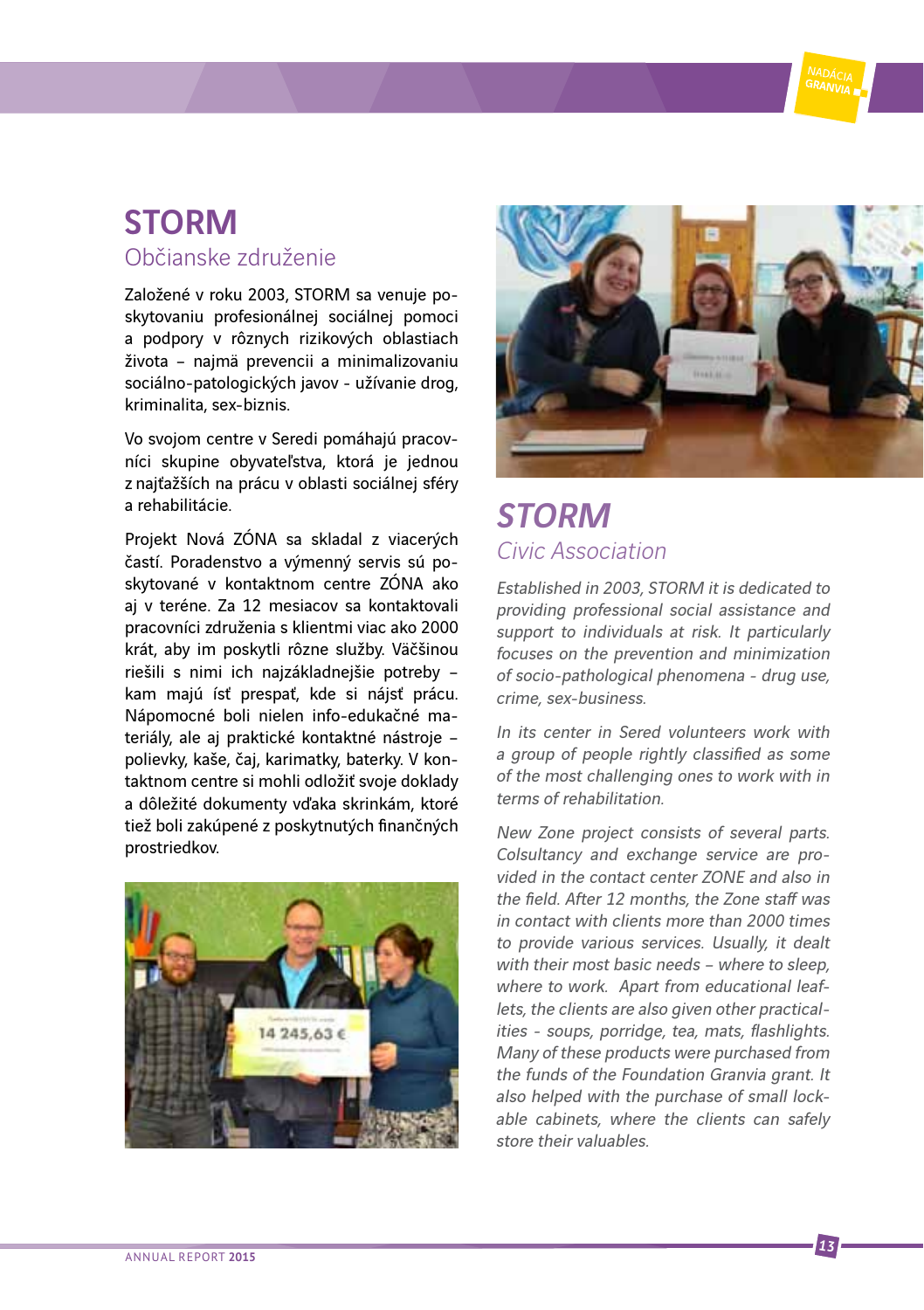### STORM Občianske združenie

Založené v roku 2003, STORM sa venuje poskytovaniu profesionálnej sociálnej pomoci a podpory v rôznych rizikových oblastiach života – najmä prevencii a minimalizovaniu sociálno-patologických javov - užívanie drog, kriminalita, sex-biznis.

Vo svojom centre v Seredi pomáhajú pracovníci skupine obyvateľstva, ktorá je jednou z najťažších na prácu v oblasti sociálnej sféry a rehabilitácie.

Projekt Nová ZÓNA sa skladal z viacerých častí. Poradenstvo a výmenný servis sú poskytované v kontaktnom centre ZÓNA ako aj v teréne. Za 12 mesiacov sa kontaktovali pracovníci združenia s klientmi viac ako 2000 krát, aby im poskytli rôzne služby. Väčšinou riešili s nimi ich najzákladnejšie potreby – kam majú ísť prespať, kde si nájsť prácu. Nápomocné boli nielen info-edukačné materiály, ale aj praktické kontaktné nástroje – polievky, kaše, čaj, karimatky, baterky. V kontaktnom centre si mohli odložiť svoje doklady a dôležité dokumenty vďaka skrinkám, ktoré tiež boli zakúpené z poskytnutých finančných prostriedkov.





### **STORM** Civic Association

Established in 2003, STORM it is dedicated to providing professional social assistance and support to individuals at risk. It particularly focuses on the prevention and minimization of socio-pathological phenomena - drug use, crime, sex-business.

In its center in Sered volunteers work with a group of people rightly classified as some of the most challenging ones to work with in terms of rehabilitation.

New Zone project consists of several parts. Colsultancy and exchange service are provided in the contact center ZONE and also in the field. After 12 months, the Zone staff was in contact with clients more than 2000 times to provide various services. Usually, it dealt with their most basic needs – where to sleep where to work. Apart from educational leaflets, the clients are also given other practicalities - soups, porridge, tea, mats, flashlights. Many of these products were purchased from the funds of the Foundation Granvia grant. It also helped with the purchase of small lockable cabinets, where the clients can safely store their valuables.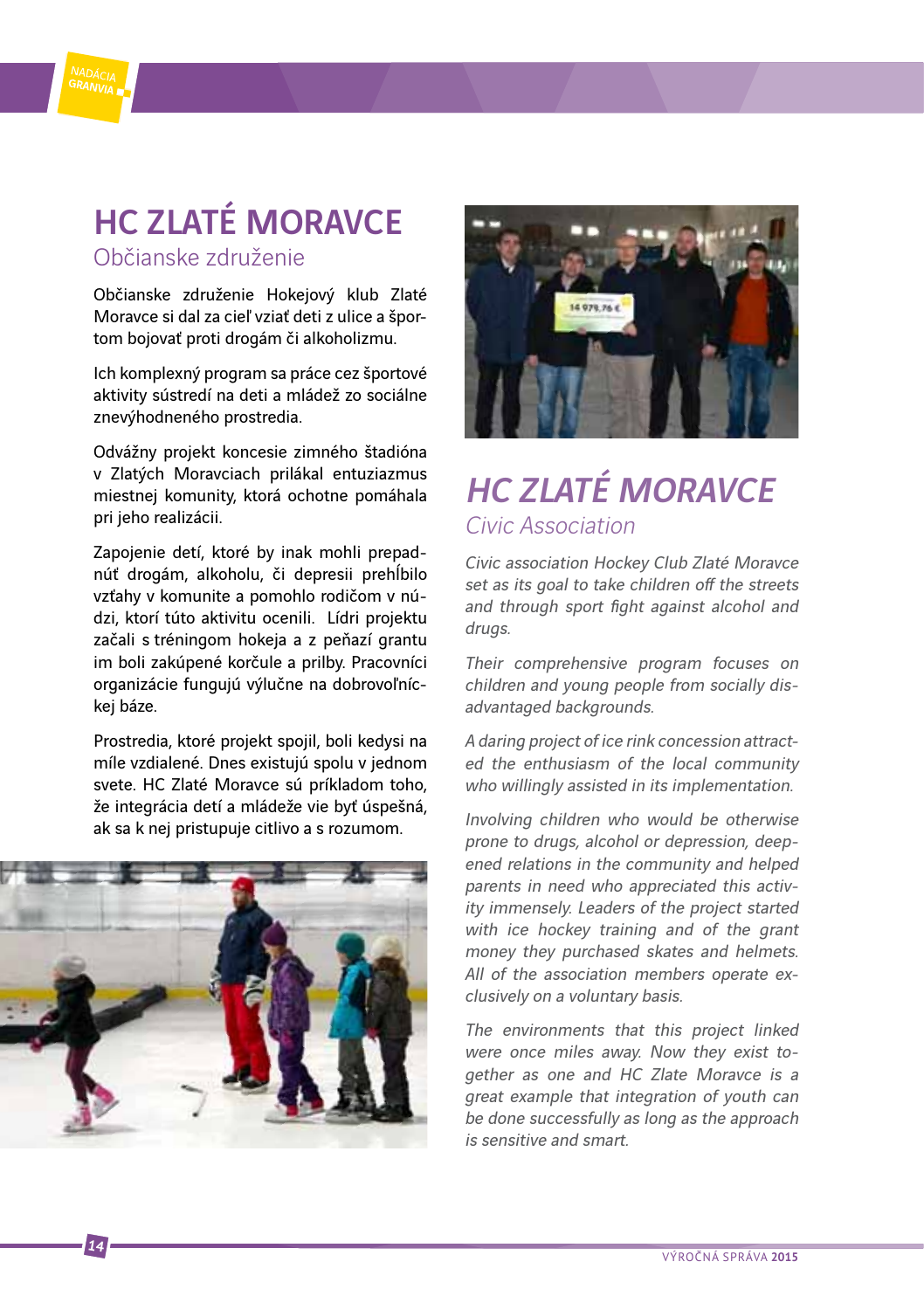

Občianske združenie Hokejový klub Zlaté Moravce si dal za cieľ vziať deti z ulice a športom bojovať proti drogám či alkoholizmu.

Ich komplexný program sa práce cez športové aktivity sústredí na deti a mládež zo sociálne znevýhodneného prostredia.

Odvážny projekt koncesie zimného štadióna v Zlatých Moravciach prilákal entuziazmus miestnej komunity, ktorá ochotne pomáhala pri jeho realizácii.

Zapojenie detí, ktoré by inak mohli prepadnúť drogám, alkoholu, či depresii prehĺbilo vzťahy v komunite a pomohlo rodičom v núdzi, ktorí túto aktivitu ocenili. Lídri projektu začali s tréningom hokeja a z peňazí grantu im boli zakúpené korčule a prilby. Pracovníci organizácie fungujú výlučne na dobrovoľníckej báze.

Prostredia, ktoré projekt spojil, boli kedysi na míle vzdialené. Dnes existujú spolu v jednom svete. HC Zlaté Moravce sú príkladom toho, že integrácia detí a mládeže vie byť úspešná, ak sa k nej pristupuje citlivo a s rozumom.





### HC **ZI ATÉ MORAVCE** Civic Association

Civic association Hockey Club Zlaté Moravce set as its goal to take children off the streets and through sport fight against alcohol and drugs.

Their comprehensive program focuses on children and young people from socially disadvantaged backgrounds.

A daring project of ice rink concession attracted the enthusiasm of the local community who willingly assisted in its implementation.

Involving children who would be otherwise prone to drugs, alcohol or depression, deepened relations in the community and helped parents in need who appreciated this activity immensely. Leaders of the project started with ice hockey training and of the grant money they purchased skates and helmets. All of the association members operate exclusively on a voluntary basis.

The environments that this project linked were once miles away. Now they exist together as one and HC Zlate Moravce is a great example that integration of youth can be done successfully as long as the approach is sensitive and smart.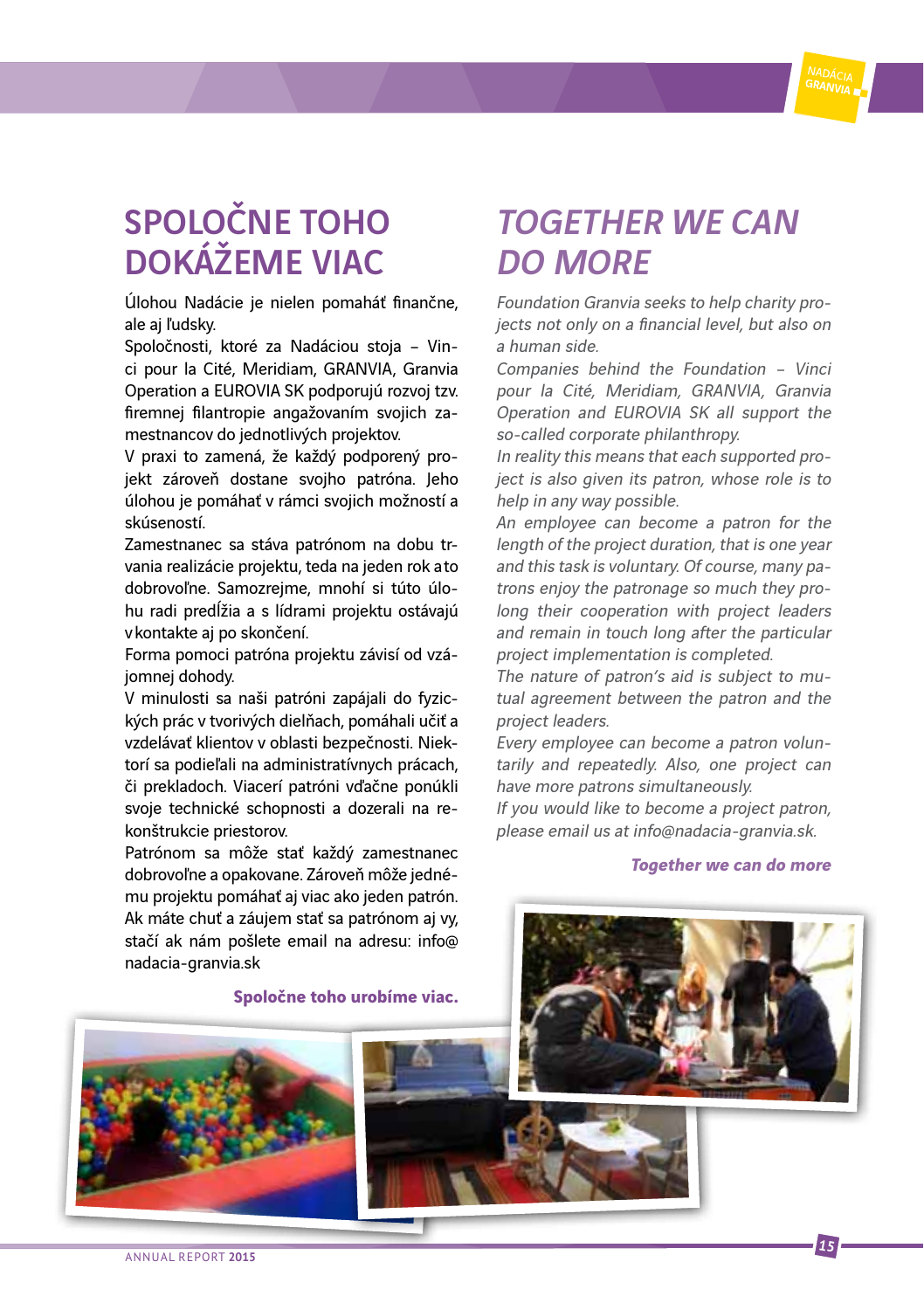### SPOLOČNE TOHO DOKÁŽEME VIAC

Úlohou Nadácie je nielen pomaháť finančne, ale aj ľudsky.

Spoločnosti, ktoré za Nadáciou stoja – Vinci pour la Cité, Meridiam, GRANVIA, Granvia Operation a EUROVIA SK podporujú rozvoj tzv. firemnej filantropie angažovaním svojich zamestnancov do jednotlivých projektov.

V praxi to zamená, že každý podporený projekt zároveň dostane svojho patróna. Jeho úlohou je pomáhať v rámci svojich možností a skúseností.

Zamestnanec sa stáva patrónom na dobu trvania realizácie projektu, teda na jeden rok a to dobrovoľne. Samozrejme, mnohí si túto úlohu radi predĺžia a s lídrami projektu ostávajú v kontakte aj po skončení.

Forma pomoci patróna projektu závisí od vzájomnej dohody.

V minulosti sa naši patróni zapájali do fyzických prác v tvorivých dielňach, pomáhali učiť a vzdelávať klientov v oblasti bezpečnosti. Niektorí sa podieľali na administratívnych prácach, či prekladoch. Viacerí patróni vďačne ponúkli svoje technické schopnosti a dozerali na rekonštrukcie priestorov.

Patrónom sa môže stať každý zamestnanec dobrovoľne a opakovane. Zároveň môže jednému projektu pomáhať aj viac ako jeden patrón. Ak máte chuť a záujem stať sa patrónom aj vy, stačí ak nám pošlete email na adresu: info@ nadacia-granvia.sk

**Spoločne toho urobíme viac.**

### TOGETHER WE CAN DO MORE

Foundation Granvia seeks to help charity projects not only on a financial level, but also on a human side.

Companies behind the Foundation – Vinci pour la Cité, Meridiam, GRANVIA, Granvia Operation and EUROVIA SK all support the so-called corporate philanthropy.

In reality this means that each supported project is also given its patron, whose role is to help in any way possible.

An employee can become a patron for the length of the project duration, that is one year and this task is voluntary. Of course, many patrons enjoy the patronage so much they prolong their cooperation with project leaders and remain in touch long after the particular project implementation is completed.

The nature of patron's aid is subject to mutual agreement between the patron and the project leaders.

Every employee can become a patron voluntarily and repeatedly. Also, one project can have more patrons simultaneously.

If you would like to become a project patron, please email us at info@nadacia-granvia.sk.

#### **Together we can do more**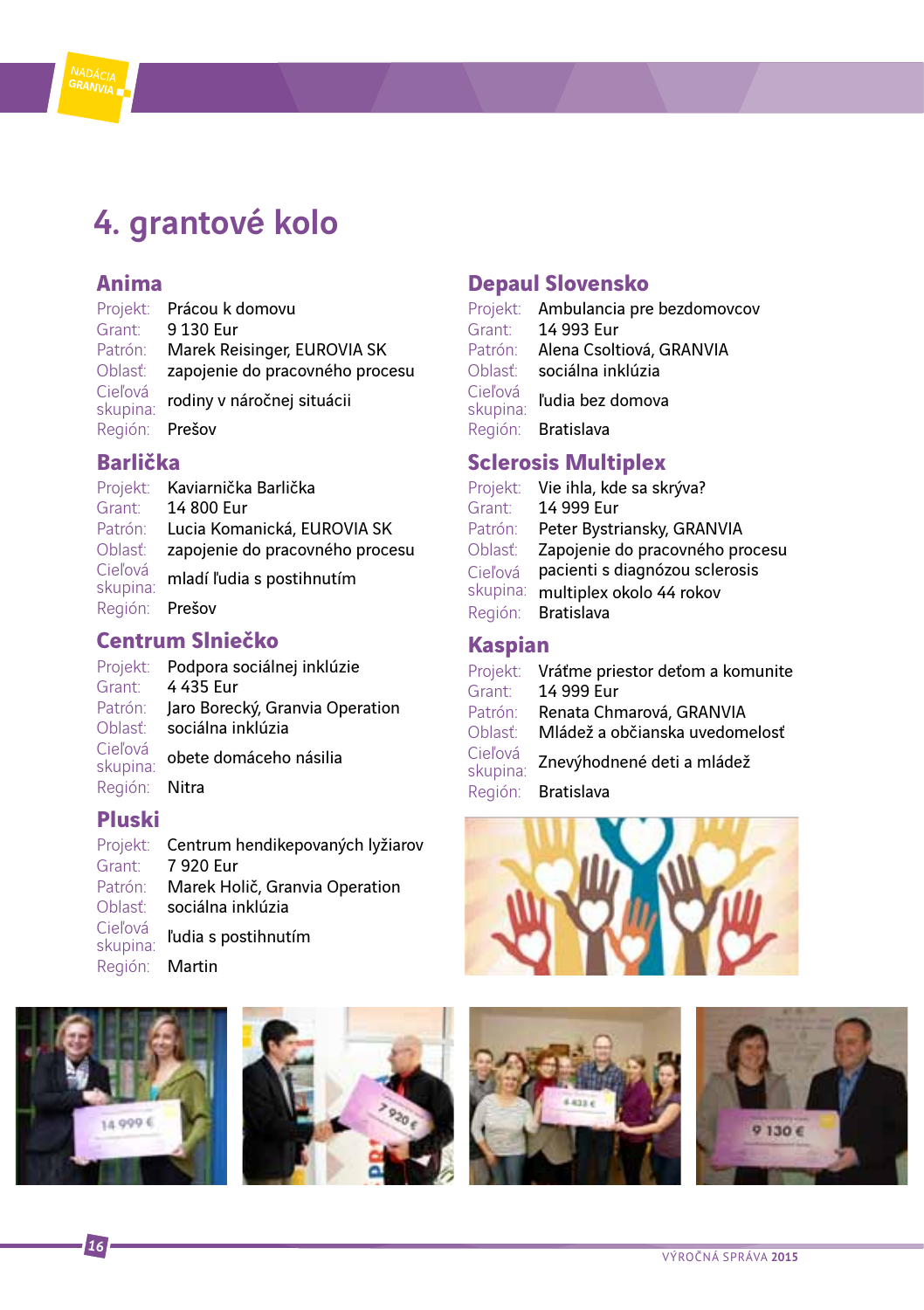

#### **Anima**

Projekt: Prácou k domovu Grant:<br>Patrón: Marek Reisinger, EUROVIA SK Oblasť: zapojenie do pracovného procesu Cieľová<br>skupina: rodiny v náročnej situácii Región: Prešov

#### **Barlička**

Projekt: Kaviarnička Barlička Grant: 14 800 Eur Patrón: Lucia Komanická, EUROVIA SK Oblasť: zapojenie do pracovného procesu Cieľová<br>skupina: mladí ľudia s postihnutím Región: Prešov

#### **Centrum Slniečko**

Projekt: Podpora sociálnej inklúzie Grant: 4 435 Eur Patrón: Jaro Borecký, Granvia Operation Oblasť: sociálna inklúzia Cieľová<br>skupina: obete domáceho násilia Región: Nitra

### **Pluski**

Projekt: Centrum hendikepovaných lyžiarov Grant: 7 920 Eur Patrón: Marek Holič, Granvia Operation Oblasť: sociálna inklúzia Cieľová<br>skupina: ľudia s postihnutím Región: Martin

#### **Depaul Slovensko**

|                     | Projekt: Ambulancia pre bezdomovcov |
|---------------------|-------------------------------------|
| Grant:              | 14 993 Eur                          |
| Patrón:             | Alena Csoltiová, GRANVIA            |
| Oblasť:             | sociálna inklúzia                   |
| Cieľová<br>skupina: | ľudia bez domova                    |
|                     | Región: Bratislava                  |

### **Sclerosis Multiplex**

| Projekt: | Vie ihla, kde sa skrýva?        |
|----------|---------------------------------|
| Grant:   | 14 999 Eur                      |
| Patrón:  | Peter Bystriansky, GRANVIA      |
| Oblasť:  | Zapojenie do pracovného procesu |
| Cieľová  | pacienti s diagnózou sclerosis  |
| skupina: | multiplex okolo 44 rokov        |
| Región:  | <b>Bratislava</b>               |

### **Kaspian**

| Projekt:            | Vráťme priestor deťom a komunite |
|---------------------|----------------------------------|
| Grant:              | 14 999 Eur                       |
| Patrón:             | Renata Chmarová, GRANVIA         |
| Oblasť <sup>.</sup> | Mládež a občianska uvedomelosť   |
| Cieľová<br>skupina: | Znevýhodnené deti a mládež       |
|                     | Región: Bratislava               |









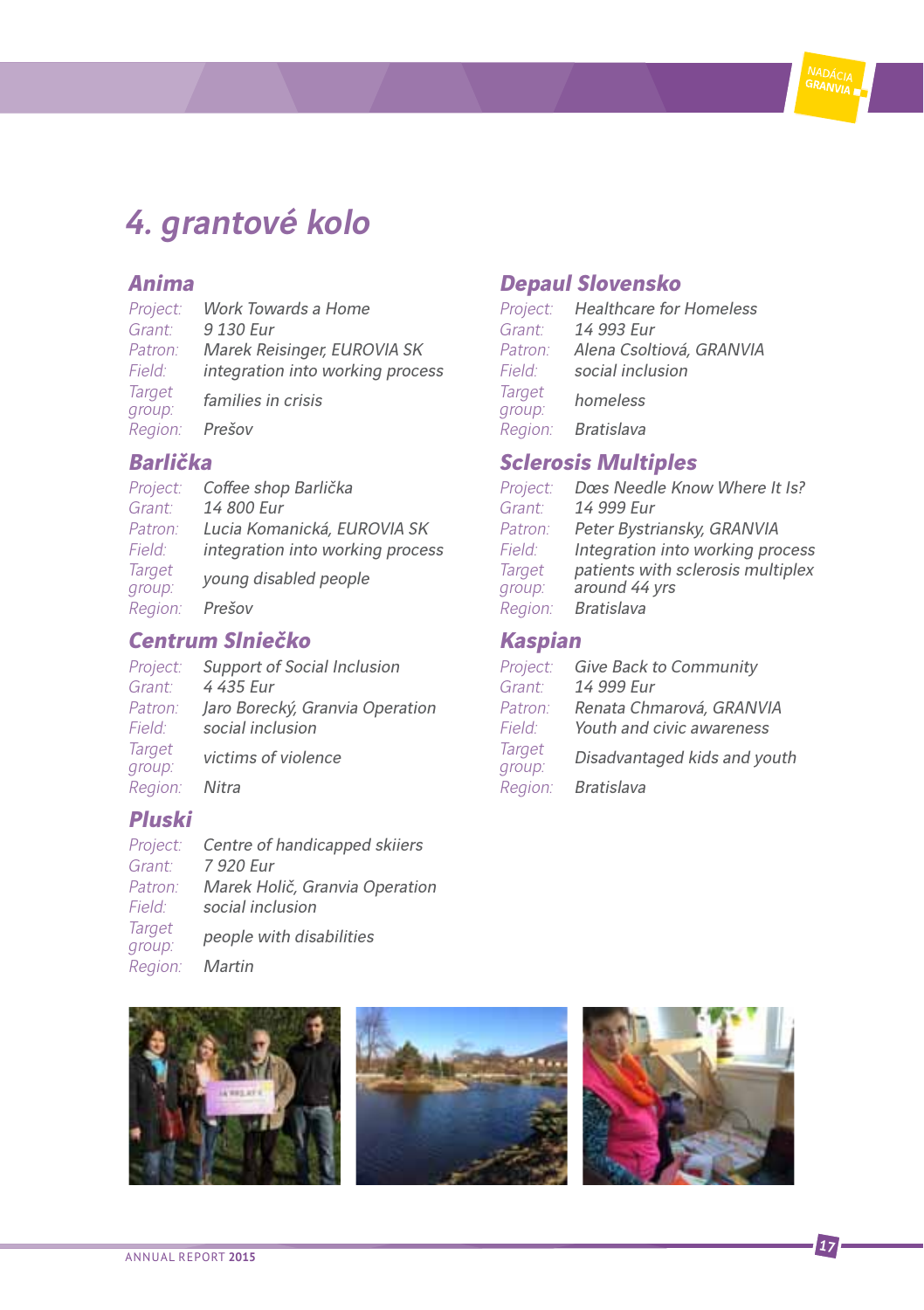### 4. grantové kolo

### **Anima**

| Project:         | Work Towards a Home              |
|------------------|----------------------------------|
| Grant:           | 9 130 Eur                        |
| Patron:          | Marek Reisinger, EUROVIA SK      |
| Field:           | integration into working process |
| Target<br>group: | families in crisis               |
| Region:          | Prešov                           |

### **Barlička**

| Project:         | Coffee shop Barlička             |
|------------------|----------------------------------|
| Grant:           | 14 800 Eur                       |
| Patron:          | Lucia Komanická, EUROVIA SK      |
| Field:           | integration into working process |
| Target<br>group: | young disabled people            |
| Region:          | Prešov                           |

### **Centrum Slniečko**

| Project:                | Support of Social Inclusion     |  |  |
|-------------------------|---------------------------------|--|--|
| Grant:                  | 4 435 Eur                       |  |  |
| Patron:                 | Jaro Borecký, Granvia Operation |  |  |
| Field:                  | social inclusion                |  |  |
| <b>Target</b><br>group: | victims of violence             |  |  |
| Region:                 | Nitra                           |  |  |

### **Pluski**

| Project:         | Centre of handicapped skiiers  |
|------------------|--------------------------------|
| Grant:           | 7 920 Eur                      |
| Patron:          | Marek Holič, Granvia Operation |
| Field:           | social inclusion               |
| Target<br>group: | people with disabilities       |
| Region:          | Martin                         |

### **Depaul Slovensko**

| Project:                | <b>Healthcare for Homeless</b> |  |
|-------------------------|--------------------------------|--|
| Grant:                  | 14 993 Eur                     |  |
| Patron:                 | Alena Csoltiová, GRANVIA       |  |
| Field:                  | social inclusion               |  |
| <b>Target</b><br>group: | homeless                       |  |
| Region:                 | <b>Bratislava</b>              |  |

### **Sclerosis Multiples**

| Project:      | Dœs Needle Know Where It Is?      |
|---------------|-----------------------------------|
| Grant:        | 14 999 Eur                        |
| Patron:       | Peter Bystriansky, GRANVIA        |
| Field:        | Integration into working process  |
| <b>Target</b> | patients with sclerosis multiplex |
| group:        | around 44 yrs                     |
| Region:       | <b>Bratislava</b>                 |
|               |                                   |

### **Kaspian**

| Project:                | Give Back to Community       |
|-------------------------|------------------------------|
| Grant:                  | 14 999 Eur                   |
| Patron:                 | Renata Chmarová, GRANVIA     |
| Field:                  | Youth and civic awareness    |
| <b>Target</b><br>group: | Disadvantaged kids and youth |
| Region:                 | <b>Bratislava</b>            |

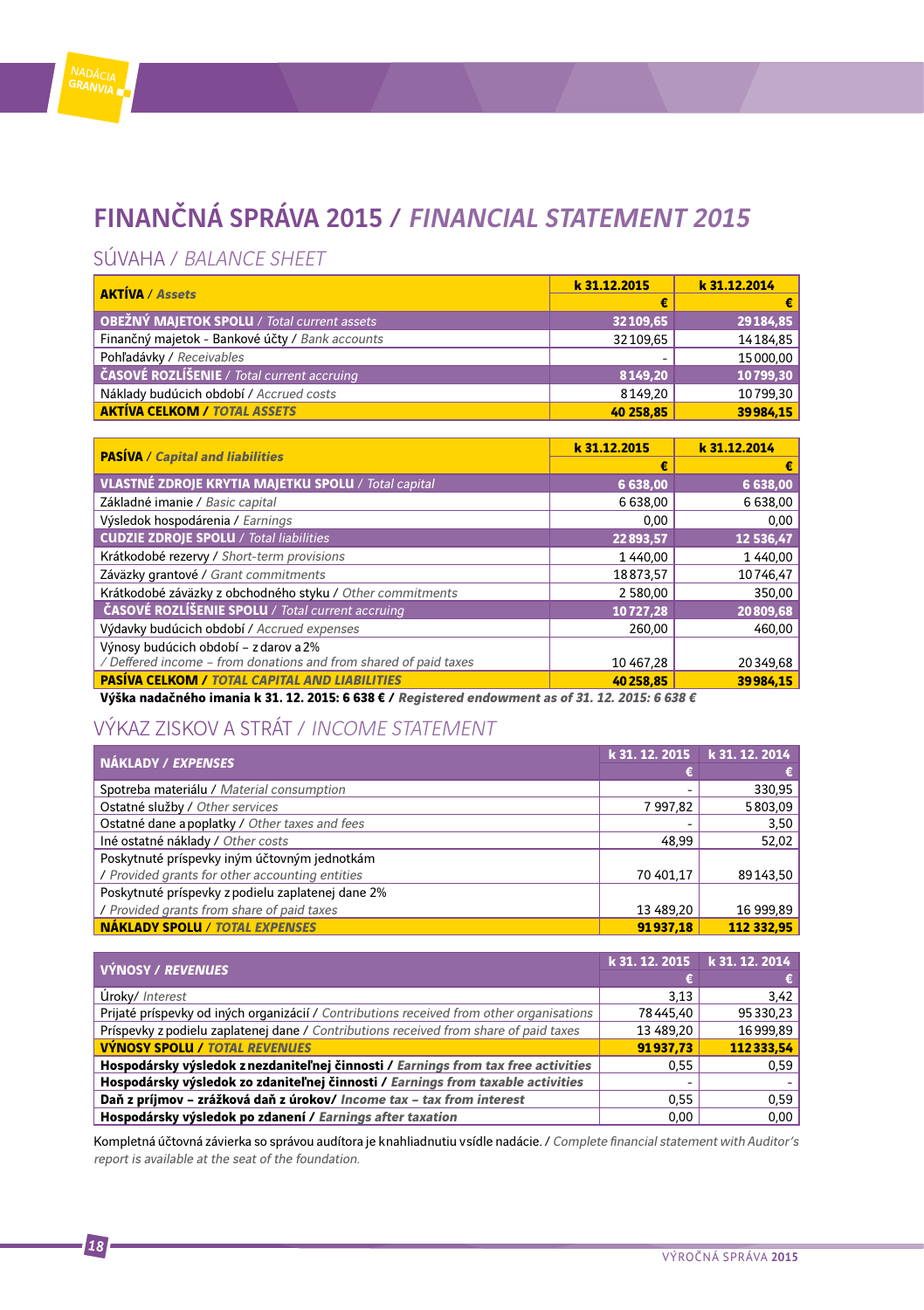### FINANČNÁ SPRÁVA 2015 / FINANCIAL STATEMENT 2015

### SÚVAHA / BALANCE SHEET

| <b>AKTÍVA / Assets</b>                             | k 31.12.2015 | k 31.12.2014 |
|----------------------------------------------------|--------------|--------------|
|                                                    | €            | €            |
| <b>OBEŽNÝ MAJETOK SPOLU / Total current assets</b> | 32109,65     | 29184,85     |
| Finančný majetok - Bankové účty / Bank accounts    | 32109.65     | 14184,85     |
| Pohľadávky / Receivables                           | ۰            | 15000,00     |
| ČASOVÉ ROZLÍŠENIE / Total current accruing         | 8149,20      | 10799,30     |
| Náklady budúcich období / Accrued costs            | 8149,20      | 10799,30     |
| <b>AKTÍVA CELKOM / TOTAL ASSETS</b>                | 40 258,85    | 39984.15     |

| <b>PASÍVA / Capital and liabilities</b>                                                           | k 31.12.2015 | k 31.12.2014 |
|---------------------------------------------------------------------------------------------------|--------------|--------------|
|                                                                                                   | €            | €            |
| <b>VLASTNÉ ZDROJE KRYTIA MAJETKU SPOLU / Total capital</b>                                        | 6 638,00     | 6 638,00     |
| Základné imanie / Basic capital                                                                   | 6 638,00     | 6 638,00     |
| Výsledok hospodárenia / Earnings                                                                  | 0.00         | 0.00         |
| <b>CUDZIE ZDROJE SPOLU / Total liabilities</b>                                                    | 22893,57     | 12 536,47    |
| Krátkodobé rezervy / Short-term provisions                                                        | 1 440.00     | 1 440,00     |
| Záväzky grantové / Grant commitments                                                              | 18873.57     | 10746.47     |
| Krátkodobé záväzky z obchodného styku / Other commitments                                         | 2 580.00     | 350,00       |
| ČASOVÉ ROZLÍŠENIE SPOLU / Total current accruing                                                  | 10727.28     | 20809,68     |
| Výdavky budúcich období / Accrued expenses                                                        | 260.00       | 460.00       |
| Výnosy budúcich období - z darov a 2%                                                             |              |              |
| / Deffered income - from donations and from shared of paid taxes                                  | 10 467,28    | 20349.68     |
| <b>PASÍVA CELKOM / TOTAL CAPITAL AND LIABILITIES</b>                                              | 40258.85     | 39984.15     |
| Výška nadačného imania k 31. 12. 2015: 6 638 € / Registered endowment as of 31. 12. 2015: 6 638 € |              |              |

### VÝKAZ ZISKOV A STRÁT / INCOME STATEMENT

| NÁKLADY / EXPENSES                                | k 31, 12, 2015 | k 31, 12, 2014 |
|---------------------------------------------------|----------------|----------------|
|                                                   |                | €              |
| Spotreba materiálu / Material consumption         | -              | 330,95         |
| Ostatné služby / Other services                   | 7997.82        | 5803,09        |
| Ostatné dane a poplatky / Other taxes and fees    |                | 3,50           |
| Iné ostatné náklady / Other costs                 | 48,99          | 52,02          |
| Poskytnuté príspevky iným účtovným jednotkám      |                |                |
| / Provided grants for other accounting entities   | 70 401,17      | 89143,50       |
| Poskytnuté príspevky z podielu zaplatenej dane 2% |                |                |
| / Provided grants from share of paid taxes        | 13 489.20      | 16 999.89      |
| <b>NÁKLADY SPOLU / TOTAL EXPENSES</b>             | 91937.18       | 112 332.95     |

| VÝNOSY / REVENUES                                                                        | k 31, 12, 2015 | k 31, 12, 2014 |
|------------------------------------------------------------------------------------------|----------------|----------------|
|                                                                                          |                | €              |
| Úroky/ Interest                                                                          | 3.13           | 3.42           |
| Prijaté príspevky od iných organizácií / Contributions received from other organisations | 78445.40       | 95330.23       |
| Príspevky z podielu zaplatenej dane / Contributions received from share of paid taxes    | 13 489.20      | 16999.89       |
| <b>VÝNOSY SPOLU / TOTAL REVENUES</b>                                                     | 91937.73       | 112333.54      |
| Hospodársky výsledok z nezdaniteľnej činnosti / Earnings from tax free activities        | 0.55           | 0.59           |
| Hospodársky výsledok zo zdaniteľnej činnosti / Earnings from taxable activities          |                |                |
| Daň z príjmov - zrážková daň z úrokov/ Income tax - tax from interest                    | 0.55           | 0,59           |
| Hospodársky výsledok po zdanení / Earnings after taxation                                | 0.00           | 0.00           |

Kompletná účtovná závierka so správou audítora je knahliadnutiu v sídle nadácie. / Complete financial statement with Auditor's report is available at the seat of the foundation.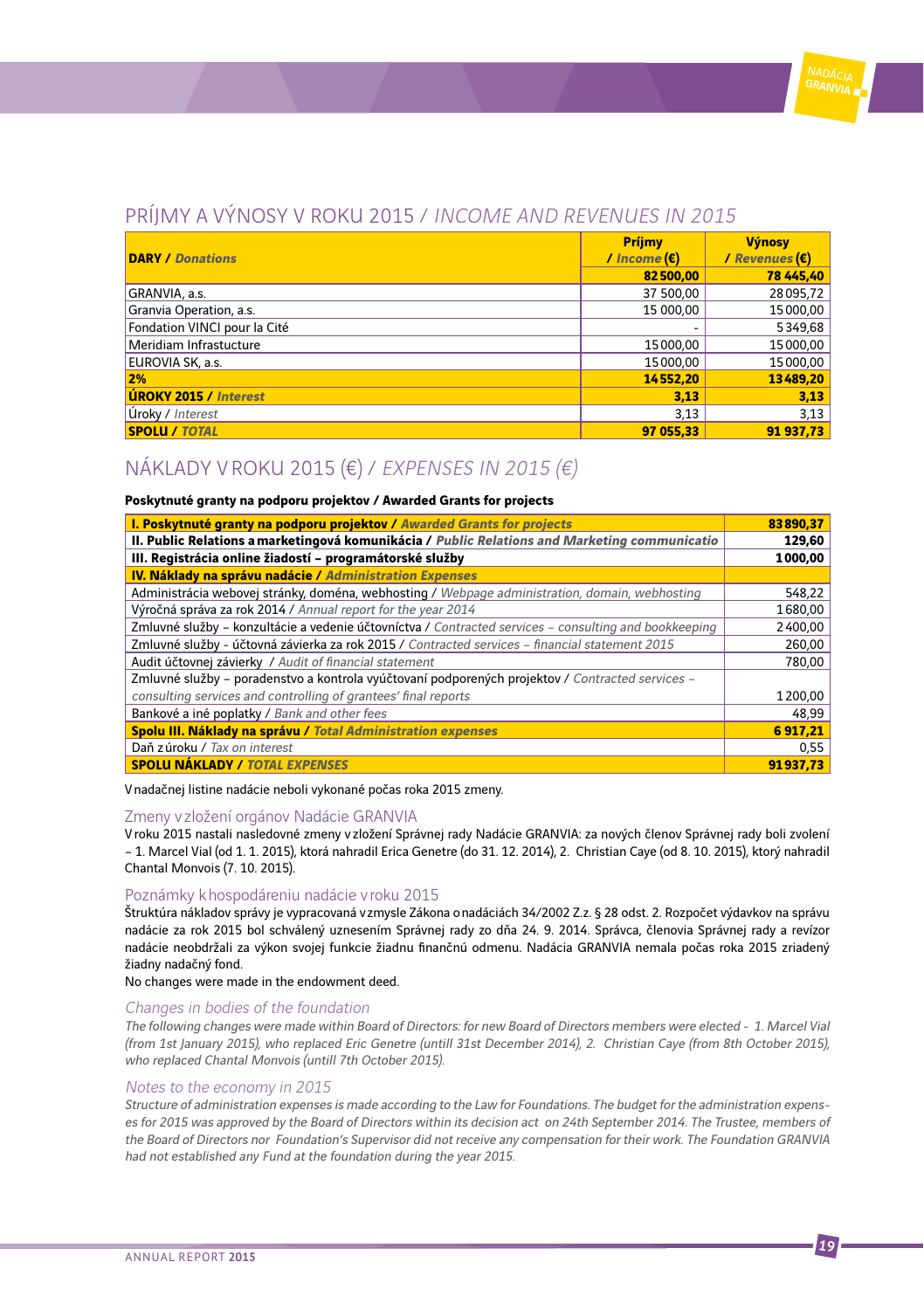### Príjmy a výnosy v roku 2015 / Income and Revenues in 2015

| <b>DARY / Donations</b>      | Príjmy<br>/ Income $(\epsilon)$ | <b>Výnosy</b><br>/ $Re$ <i>venues</i> $(\epsilon)$ |
|------------------------------|---------------------------------|----------------------------------------------------|
|                              | 82500,00                        | 78 445,40                                          |
| GRANVIA, a.s.                | 37 500,00                       | 28095,72                                           |
| Granvia Operation, a.s.      | 15 000.00                       | 15000,00                                           |
| Fondation VINCI pour la Cité |                                 | 5349,68                                            |
| Meridiam Infrastucture       | 15000,00                        | 15000,00                                           |
| EUROVIA SK. a.s.             | 15000.00                        | 15000,00                                           |
| 2%                           | 14552.20                        | 13489,20                                           |
| <b>ÚROKY 2015 / Interest</b> | 3.13                            | 3,13                                               |
| Úroky / Interest             | 3.13                            | 3,13                                               |
| <b>SPOLU / TOTAL</b>         | 97 055.33                       | 91 937.73                                          |

### Náklady v roku 2015 (€) / Expenses in 2015 (€)

#### **Poskytnuté granty na podporu projektov / Awarded Grants for projects**

| I. Poskytnuté granty na podporu projektov / Awarded Grants for projects                               | 83890,37 |
|-------------------------------------------------------------------------------------------------------|----------|
| II. Public Relations a marketingová komunikácia / Public Relations and Marketing communicatio         | 129,60   |
| III. Registrácia online žiadostí - programátorské služby                                              | 1000,00  |
| IV. Náklady na správu nadácie / Administration Expenses                                               |          |
| Administrácia webovej stránky, doména, webhosting / Webpage administration, domain, webhosting        | 548,22   |
| Výročná správa za rok 2014 / Annual report for the year 2014                                          | 1680.00  |
| Zmluvné služby - konzultácie a vedenie účtovníctva / Contracted services - consulting and bookkeeping | 2400,00  |
| Zmluvné služby - účtovná závierka za rok 2015 / Contracted services - financial statement 2015        | 260,00   |
| Audit účtovnej závierky / Audit of financial statement                                                | 780,00   |
| Zmluvné služby - poradenstvo a kontrola vyúčtovaní podporených projektov / Contracted services -      |          |
| consulting services and controlling of grantees' final reports                                        | 1200,00  |
| Bankové a iné poplatky / Bank and other fees                                                          | 48.99    |
| Spolu III. Náklady na správu / Total Administration expenses                                          | 6917,21  |
| Daň z úroku / Tax on interest                                                                         | 0.55     |
| <b>SPOLU NÁKLADY / TOTAL EXPENSES</b>                                                                 | 91937.73 |

V nadačnej listine nadácie neboli vykonané počas roka 2015 zmeny.

#### Zmeny v zložení orgánov Nadácie GRANVIA

V roku 2015 nastali nasledovné zmeny v zložení Správnej rady Nadácie GRANVIA: za nových členov Správnej rady boli zvolení – 1. Marcel Vial (od 1. 1. 2015), ktorá nahradil Erica Genetre (do 31. 12. 2014), 2. Christian Caye (od 8. 10. 2015), ktorý nahradil Chantal Monvois (7. 10. 2015).

#### Poznámky k hospodáreniu nadácie v roku 2015

Štruktúra nákladov správy je vypracovaná v zmysle Zákona o nadáciách 34/2002 Z.z. § 28 odst. 2. Rozpočet výdavkov na správu nadácie za rok 2015 bol schválený uznesením Správnej rady zo dňa 24. 9. 2014. Správca, členovia Správnej rady a revízor nadácie neobdržali za výkon svojej funkcie žiadnu finančnú odmenu. Nadácia GRANVIA nemala počas roka 2015 zriadený žiadny nadačný fond.

No changes were made in the endowment deed.

#### Changes in bodies of the foundation

The following changes were made within Board of Directors: for new Board of Directors members were elected - 1. Marcel Vial (from 1st January 2015), who replaced Eric Genetre (untill 31st December 2014), 2. Christian Caye (from 8th October 2015), who replaced Chantal Monvois (untill 7th October 2015).

#### Notes to the economy in 2015

Structure of administration expenses is made according to the Law for Foundations. The budget for the administration expenses for 2015 was approved by the Board of Directors within its decision act on 24th September 2014. The Trustee, members of the Board of Directors nor Foundation's Supervisor did not receive any compensation for their work. The Foundation GRANVIA had not established any Fund at the foundation during the year 2015.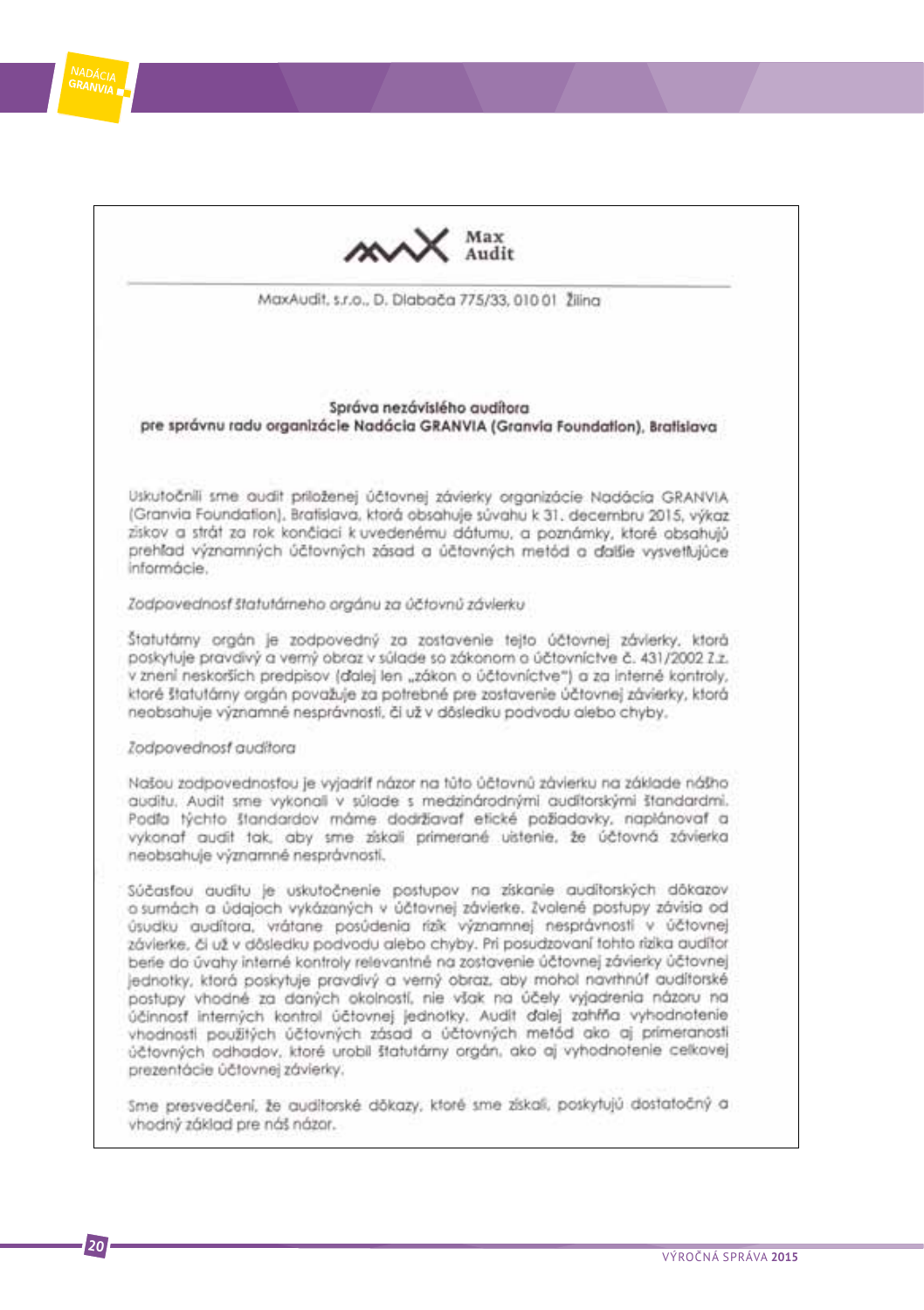

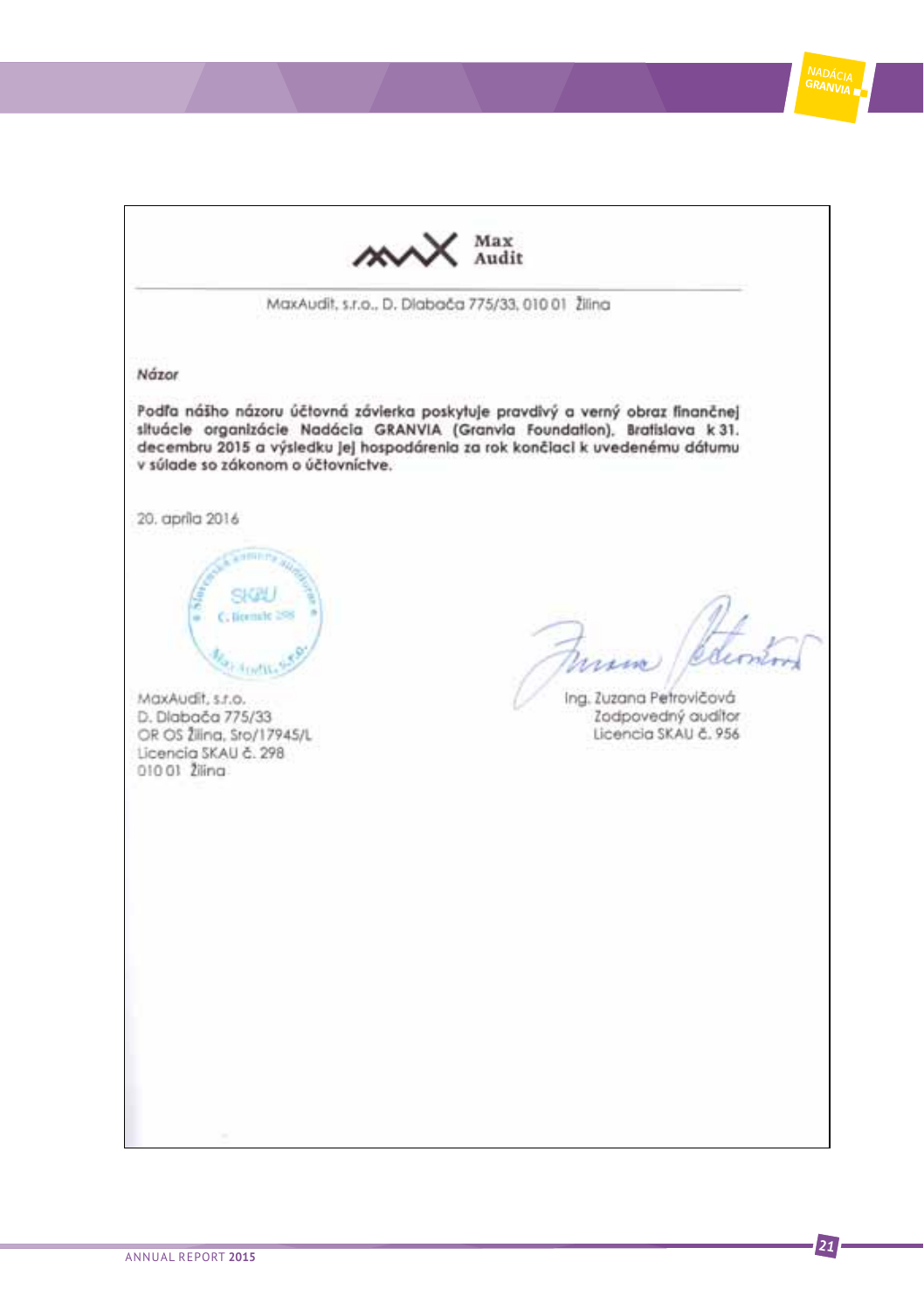Max<br>Audit ៳៷ MaxAudit, s.r.o., D. Dlaboča 775/33, 010 01 Žilina Názor Podľa nášho názoru účtovná závierka poskytuje pravdivý a verný obraz finančnej situácie organizácie Nadácia GRANVIA (Granvia Foundation), Bratislava k 31. decembru 2015 a výsledku jej hospodárenia za rok končiaci k uvedenému dátumu v súlade so zákonom o účtovníctve. 20. aprila 2016  $C<sub>1</sub>$ liornale 298 irem) **Fruttit** Ing. Zuzana Petrovičová MaxAudit, s.r.o. Zodpovedný auditor D. Dlabača 775/33 OR OS Žilina, Sro/17945/L Licencia SKAU č. 956 Licencia SKAU č. 298 010 01 2ilina